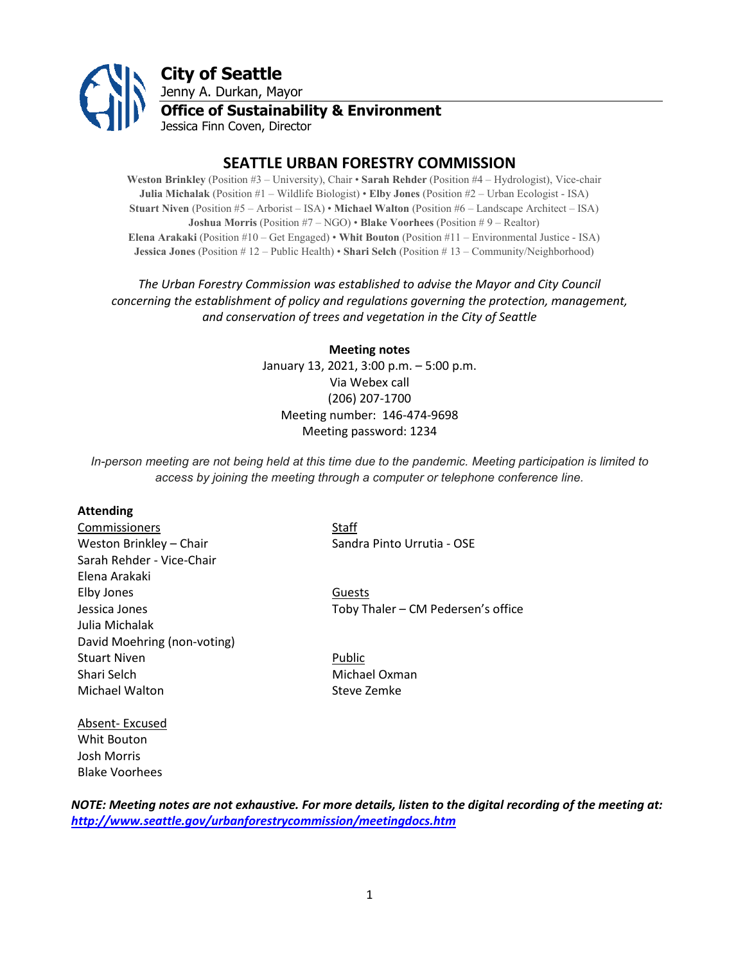

# **SEATTLE URBAN FORESTRY COMMISSION**

**Weston Brinkley** (Position #3 – University), Chair • **Sarah Rehder** (Position #4 – Hydrologist), Vice-chair **Julia Michalak** (Position #1 – Wildlife Biologist) • **Elby Jones** (Position #2 – Urban Ecologist - ISA) **Stuart Niven** (Position #5 – Arborist – ISA) • **Michael Walton** (Position #6 – Landscape Architect – ISA) **Joshua Morris** (Position #7 – NGO) • **Blake Voorhees** (Position # 9 – Realtor) **Elena Arakaki** (Position #10 – Get Engaged) • **Whit Bouton** (Position #11 – Environmental Justice - ISA) **Jessica Jones** (Position # 12 – Public Health) • **Shari Selch** (Position # 13 – Community/Neighborhood)

# *The Urban Forestry Commission was established to advise the Mayor and City Council concerning the establishment of policy and regulations governing the protection, management, and conservation of trees and vegetation in the City of Seattle*

**Meeting notes** January 13, 2021, 3:00 p.m. – 5:00 p.m. Via Webex call (206) 207-1700 Meeting number: 146-474-9698 Meeting password: 1234

*In-person meeting are not being held at this time due to the pandemic. Meeting participation is limited to access by joining the meeting through a computer or telephone conference line.*

#### **Attending**

**Commissioners** Staff Weston Brinkley – Chair Sandra Pinto Urrutia - OSE Sarah Rehder - Vice-Chair Elena Arakaki Elby Jones Guests Julia Michalak David Moehring (non-voting) Stuart Niven **Public** Shari Selch Michael Oxman Michael Walton Steve Zemke

Jessica Jones Toby Thaler – CM Pedersen's office

Absent- Excused Whit Bouton Josh Morris Blake Voorhees

*NOTE: Meeting notes are not exhaustive. For more details, listen to the digital recording of the meeting at: <http://www.seattle.gov/urbanforestrycommission/meetingdocs.htm>*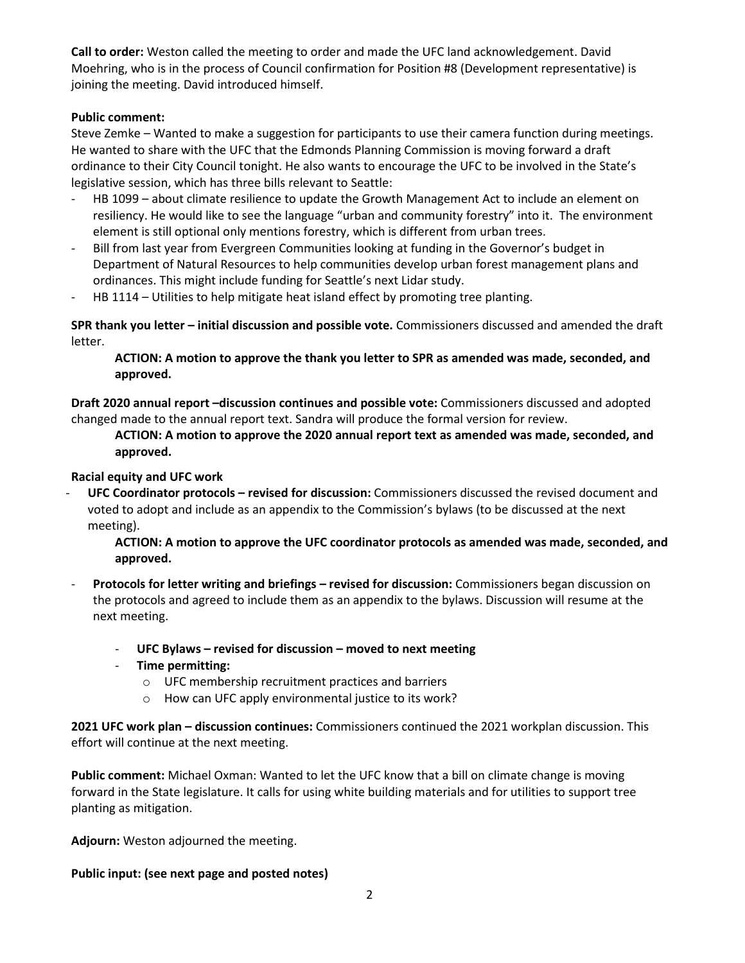**Call to order:** Weston called the meeting to order and made the UFC land acknowledgement. David Moehring, who is in the process of Council confirmation for Position #8 (Development representative) is joining the meeting. David introduced himself.

# **Public comment:**

Steve Zemke – Wanted to make a suggestion for participants to use their camera function during meetings. He wanted to share with the UFC that the Edmonds Planning Commission is moving forward a draft ordinance to their City Council tonight. He also wants to encourage the UFC to be involved in the State's legislative session, which has three bills relevant to Seattle:

- HB 1099 about climate resilience to update the Growth Management Act to include an element on resiliency. He would like to see the language "urban and community forestry" into it. The environment element is still optional only mentions forestry, which is different from urban trees.
- Bill from last year from Evergreen Communities looking at funding in the Governor's budget in Department of Natural Resources to help communities develop urban forest management plans and ordinances. This might include funding for Seattle's next Lidar study.
- HB 1114 Utilities to help mitigate heat island effect by promoting tree planting.

**SPR thank you letter – initial discussion and possible vote.** Commissioners discussed and amended the draft letter.

**ACTION: A motion to approve the thank you letter to SPR as amended was made, seconded, and approved.** 

**Draft 2020 annual report –discussion continues and possible vote:** Commissioners discussed and adopted changed made to the annual report text. Sandra will produce the formal version for review.

**ACTION: A motion to approve the 2020 annual report text as amended was made, seconded, and approved.** 

# **Racial equity and UFC work**

- **UFC Coordinator protocols – revised for discussion:** Commissioners discussed the revised document and voted to adopt and include as an appendix to the Commission's bylaws (to be discussed at the next meeting).

**ACTION: A motion to approve the UFC coordinator protocols as amended was made, seconded, and approved.** 

- **Protocols for letter writing and briefings – revised for discussion:** Commissioners began discussion on the protocols and agreed to include them as an appendix to the bylaws. Discussion will resume at the next meeting.
	- **UFC Bylaws – revised for discussion – moved to next meeting**
	- **Time permitting:** 
		- o UFC membership recruitment practices and barriers
		- o How can UFC apply environmental justice to its work?

**2021 UFC work plan – discussion continues:** Commissioners continued the 2021 workplan discussion. This effort will continue at the next meeting.

**Public comment:** Michael Oxman: Wanted to let the UFC know that a bill on climate change is moving forward in the State legislature. It calls for using white building materials and for utilities to support tree planting as mitigation.

**Adjourn:** Weston adjourned the meeting.

**Public input: (see next page and posted notes)**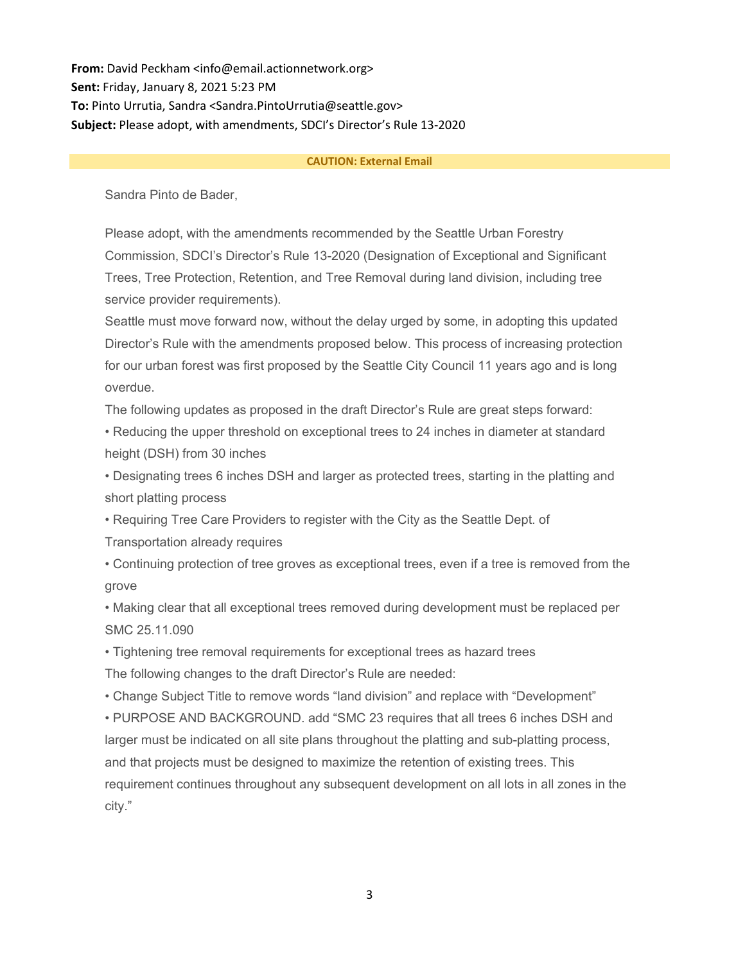**From:** David Peckham <info@email.actionnetwork.org> **Sent:** Friday, January 8, 2021 5:23 PM **To:** Pinto Urrutia, Sandra <Sandra.PintoUrrutia@seattle.gov> **Subject:** Please adopt, with amendments, SDCI's Director's Rule 13-2020

#### **CAUTION: External Email**

Sandra Pinto de Bader,

Please adopt, with the amendments recommended by the Seattle Urban Forestry Commission, SDCI's Director's Rule 13-2020 (Designation of Exceptional and Significant Trees, Tree Protection, Retention, and Tree Removal during land division, including tree service provider requirements).

Seattle must move forward now, without the delay urged by some, in adopting this updated Director's Rule with the amendments proposed below. This process of increasing protection for our urban forest was first proposed by the Seattle City Council 11 years ago and is long overdue.

The following updates as proposed in the draft Director's Rule are great steps forward:

• Reducing the upper threshold on exceptional trees to 24 inches in diameter at standard height (DSH) from 30 inches

• Designating trees 6 inches DSH and larger as protected trees, starting in the platting and short platting process

• Requiring Tree Care Providers to register with the City as the Seattle Dept. of

Transportation already requires

• Continuing protection of tree groves as exceptional trees, even if a tree is removed from the grove

• Making clear that all exceptional trees removed during development must be replaced per SMC 25.11.090

• Tightening tree removal requirements for exceptional trees as hazard trees The following changes to the draft Director's Rule are needed:

• Change Subject Title to remove words "land division" and replace with "Development"

• PURPOSE AND BACKGROUND. add "SMC 23 requires that all trees 6 inches DSH and larger must be indicated on all site plans throughout the platting and sub-platting process, and that projects must be designed to maximize the retention of existing trees. This requirement continues throughout any subsequent development on all lots in all zones in the city."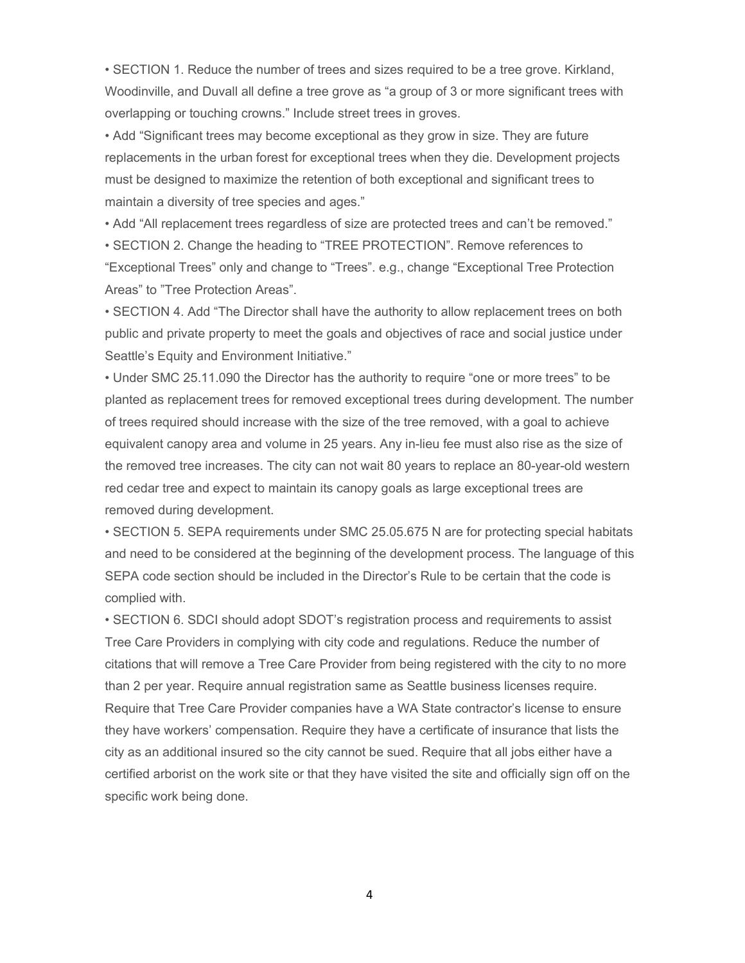• SECTION 1. Reduce the number of trees and sizes required to be a tree grove. Kirkland, Woodinville, and Duvall all define a tree grove as "a group of 3 or more significant trees with overlapping or touching crowns." Include street trees in groves.

• Add "Significant trees may become exceptional as they grow in size. They are future replacements in the urban forest for exceptional trees when they die. Development projects must be designed to maximize the retention of both exceptional and significant trees to maintain a diversity of tree species and ages."

• Add "All replacement trees regardless of size are protected trees and can't be removed."

• SECTION 2. Change the heading to "TREE PROTECTION". Remove references to "Exceptional Trees" only and change to "Trees". e.g., change "Exceptional Tree Protection Areas" to "Tree Protection Areas".

• SECTION 4. Add "The Director shall have the authority to allow replacement trees on both public and private property to meet the goals and objectives of race and social justice under Seattle's Equity and Environment Initiative."

• Under SMC 25.11.090 the Director has the authority to require "one or more trees" to be planted as replacement trees for removed exceptional trees during development. The number of trees required should increase with the size of the tree removed, with a goal to achieve equivalent canopy area and volume in 25 years. Any in-lieu fee must also rise as the size of the removed tree increases. The city can not wait 80 years to replace an 80-year-old western red cedar tree and expect to maintain its canopy goals as large exceptional trees are removed during development.

• SECTION 5. SEPA requirements under SMC 25.05.675 N are for protecting special habitats and need to be considered at the beginning of the development process. The language of this SEPA code section should be included in the Director's Rule to be certain that the code is complied with.

• SECTION 6. SDCI should adopt SDOT's registration process and requirements to assist Tree Care Providers in complying with city code and regulations. Reduce the number of citations that will remove a Tree Care Provider from being registered with the city to no more than 2 per year. Require annual registration same as Seattle business licenses require. Require that Tree Care Provider companies have a WA State contractor's license to ensure they have workers' compensation. Require they have a certificate of insurance that lists the city as an additional insured so the city cannot be sued. Require that all jobs either have a certified arborist on the work site or that they have visited the site and officially sign off on the specific work being done.

4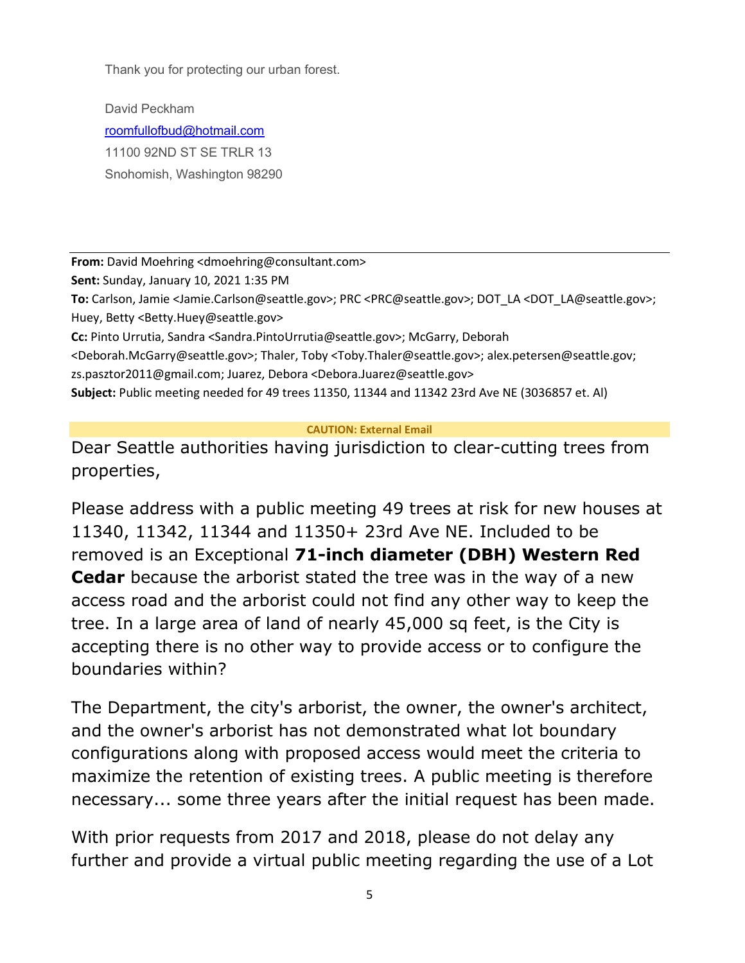Thank you for protecting our urban forest.

David Peckham [roomfullofbud@hotmail.com](mailto:roomfullofbud@hotmail.com) 11100 92ND ST SE TRLR 13 Snohomish, Washington 98290

**From:** David Moehring <dmoehring@consultant.com>

**Sent:** Sunday, January 10, 2021 1:35 PM

**To:** Carlson, Jamie <Jamie.Carlson@seattle.gov>; PRC <PRC@seattle.gov>; DOT\_LA <DOT\_LA@seattle.gov>; Huey, Betty <Betty.Huey@seattle.gov>

**Cc:** Pinto Urrutia, Sandra <Sandra.PintoUrrutia@seattle.gov>; McGarry, Deborah

<Deborah.McGarry@seattle.gov>; Thaler, Toby <Toby.Thaler@seattle.gov>; alex.petersen@seattle.gov; zs.pasztor2011@gmail.com; Juarez, Debora <Debora.Juarez@seattle.gov>

**Subject:** Public meeting needed for 49 trees 11350, 11344 and 11342 23rd Ave NE (3036857 et. Al)

# **CAUTION: External Email**

Dear Seattle authorities having jurisdiction to clear-cutting trees from properties,

Please address with a public meeting 49 trees at risk for new houses at 11340, 11342, 11344 and 11350+ 23rd Ave NE. Included to be removed is an Exceptional **71-inch diameter (DBH) Western Red Cedar** because the arborist stated the tree was in the way of a new access road and the arborist could not find any other way to keep the tree. In a large area of land of nearly 45,000 sq feet, is the City is accepting there is no other way to provide access or to configure the boundaries within?

The Department, the city's arborist, the owner, the owner's architect, and the owner's arborist has not demonstrated what lot boundary configurations along with proposed access would meet the criteria to maximize the retention of existing trees. A public meeting is therefore necessary... some three years after the initial request has been made.

With prior requests from 2017 and 2018, please do not delay any further and provide a virtual public meeting regarding the use of a Lot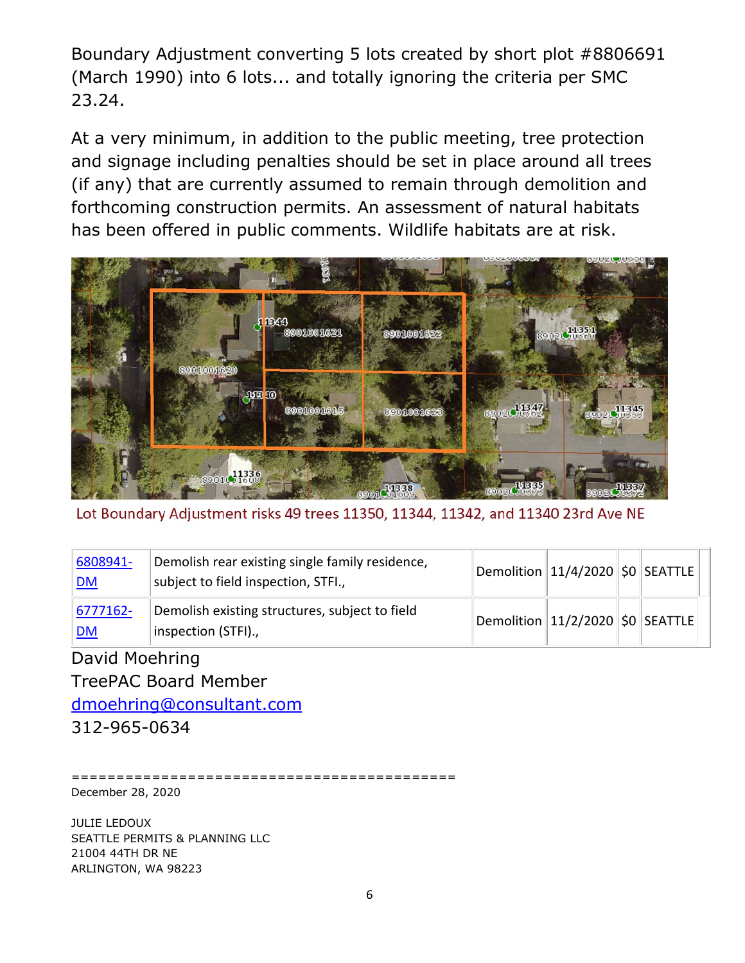Boundary Adjustment converting 5 lots created by short plot #8806691 (March 1990) into 6 lots... and totally ignoring the criteria per SMC 23.24.

At a very minimum, in addition to the public meeting, tree protection and signage including penalties should be set in place around all trees (if any) that are currently assumed to remain through demolition and forthcoming construction permits. An assessment of natural habitats has been offered in public comments. Wildlife habitats are at risk.



Lot Boundary Adjustment risks 49 trees 11350, 11344, 11342, and 11340 23rd Ave NE

| 6808941-<br><u> DM</u>    | Demolish rear existing single family residence,<br>subject to field inspection, STFI., | $ $ Demolition $ 11/4/2020 $ \$0 SEATTLE $ $ |  |  |
|---------------------------|----------------------------------------------------------------------------------------|----------------------------------------------|--|--|
| $ 6777162 -$<br><u>DM</u> | Demolish existing structures, subject to field<br>inspection (STFI).,                  | Demolition 11/2/2020 \$0 SEATTLE             |  |  |

David Moehring TreePAC Board Member [dmoehring@consultant.com](mailto:dmoehring@consultant.com) 312-965-0634

=========================================== December 28, 2020

JULIE LEDOUX SEATTLE PERMITS & PLANNING LLC 21004 44TH DR NE ARLINGTON, WA 98223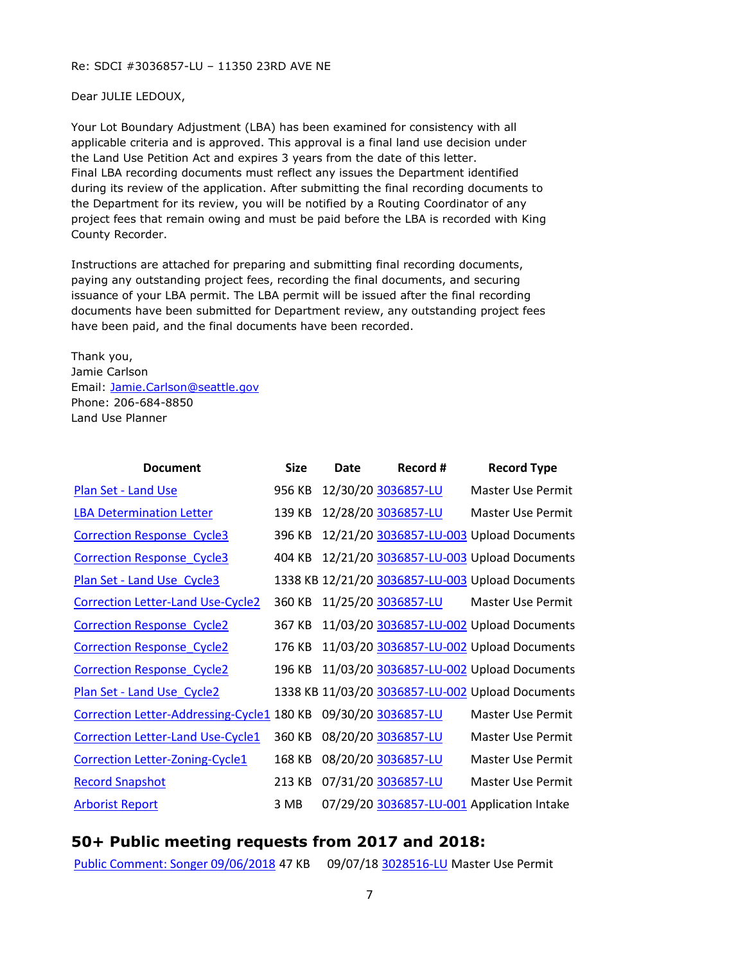#### Re: SDCI #3036857-LU – 11350 23RD AVE NE

Dear JULIE LEDOUX,

Your Lot Boundary Adjustment (LBA) has been examined for consistency with all applicable criteria and is approved. This approval is a final land use decision under the Land Use Petition Act and expires 3 years from the date of this letter. Final LBA recording documents must reflect any issues the Department identified during its review of the application. After submitting the final recording documents to the Department for its review, you will be notified by a Routing Coordinator of any project fees that remain owing and must be paid before the LBA is recorded with King County Recorder.

Instructions are attached for preparing and submitting final recording documents, paying any outstanding project fees, recording the final documents, and securing issuance of your LBA permit. The LBA permit will be issued after the final recording documents have been submitted for Department review, any outstanding project fees have been paid, and the final documents have been recorded.

Thank you, Jamie Carlson Email: [Jamie.Carlson@seattle.gov](mailto:Jamie.Carlson@seattle.gov) Phone: 206-684-8850 Land Use Planner

| <b>Document</b>                            | <b>Size</b> | Date | Record #            | <b>Record Type</b>                               |
|--------------------------------------------|-------------|------|---------------------|--------------------------------------------------|
| <b>Plan Set - Land Use</b>                 | 956 KB      |      | 12/30/20 3036857-LU | Master Use Permit                                |
| <b>LBA Determination Letter</b>            | 139 KB      |      | 12/28/20 3036857-LU | Master Use Permit                                |
| <b>Correction Response Cycle3</b>          | 396 KB      |      |                     | 12/21/20 3036857-LU-003 Upload Documents         |
| <b>Correction Response Cycle3</b>          | 404 KB      |      |                     | 12/21/20 3036857-LU-003 Upload Documents         |
| Plan Set - Land Use Cycle3                 |             |      |                     | 1338 KB 12/21/20 3036857-LU-003 Upload Documents |
| <b>Correction Letter-Land Use-Cycle2</b>   | 360 KB      |      | 11/25/20 3036857-LU | Master Use Permit                                |
| <b>Correction Response Cycle2</b>          | 367 KB      |      |                     | 11/03/20 3036857-LU-002 Upload Documents         |
| <b>Correction Response Cycle2</b>          | 176 KB      |      |                     | 11/03/20 3036857-LU-002 Upload Documents         |
| <b>Correction Response Cycle2</b>          | 196 KB      |      |                     | 11/03/20 3036857-LU-002 Upload Documents         |
| Plan Set - Land Use_Cycle2                 |             |      |                     | 1338 KB 11/03/20 3036857-LU-002 Upload Documents |
| Correction Letter-Addressing-Cycle1 180 KB |             |      | 09/30/20 3036857-LU | Master Use Permit                                |
| <b>Correction Letter-Land Use-Cycle1</b>   | 360 KB      |      | 08/20/20 3036857-LU | Master Use Permit                                |
| <b>Correction Letter-Zoning-Cycle1</b>     | 168 KB      |      | 08/20/20 3036857-LU | Master Use Permit                                |
| <b>Record Snapshot</b>                     | 213 KB      |      | 07/31/20 3036857-LU | Master Use Permit                                |
| <b>Arborist Report</b>                     | 3 MB        |      |                     | 07/29/20 3036857-LU-001 Application Intake       |

# **50+ Public meeting requests from 2017 and 2018:**

[Public Comment: Songer 09/06/2018 4](http://web6.seattle.gov/dpd/edms/GetDocument.aspx?id=4029494)7 KB 09/07/18 [3028516-LU M](https://protect2.fireeye.com/v1/url?k=11563e75-4ecd075b-115616c5-86c89b3c9da5-11155d3d5f5e73af&q=1&e=b2044b8e-9ee1-452d-9150-5f5ca4dc9edf&u=https%3A%2F%2Fcosaccela.seattle.gov%2Fportal%2Fcustomize%2Flinktorecord.aspx%3FaltId%3D3028516-LU)aster Use Permit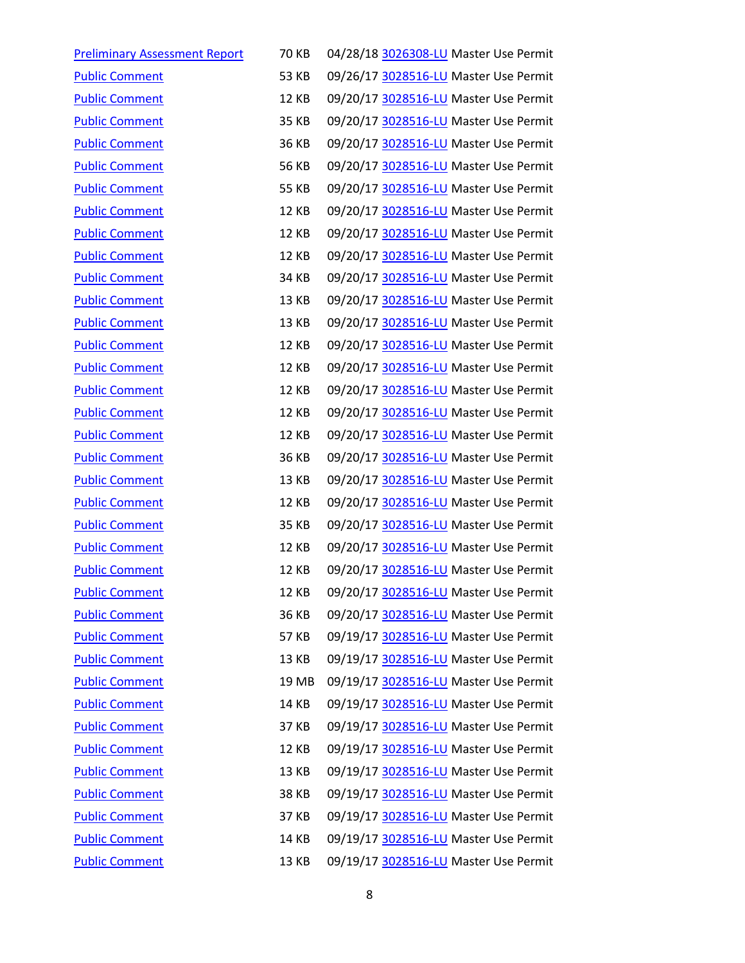| <b>Preliminary Assessment Report</b> | <b>70 KB</b> | 04/28/18 3026308-LU Master Use Permit |
|--------------------------------------|--------------|---------------------------------------|
| <b>Public Comment</b>                | <b>53 KB</b> | 09/26/17 3028516-LU Master Use Permit |
| <b>Public Comment</b>                | 12 KB        | 09/20/17 3028516-LU Master Use Permit |
| <b>Public Comment</b>                | 35 KB        | 09/20/17 3028516-LU Master Use Permit |
| <b>Public Comment</b>                | 36 KB        | 09/20/17 3028516-LU Master Use Permit |
| <b>Public Comment</b>                | <b>56 KB</b> | 09/20/17 3028516-LU Master Use Permit |
| <b>Public Comment</b>                | <b>55 KB</b> | 09/20/17 3028516-LU Master Use Permit |
| <b>Public Comment</b>                | <b>12 KB</b> | 09/20/17 3028516-LU Master Use Permit |
| <b>Public Comment</b>                | <b>12 KB</b> | 09/20/17 3028516-LU Master Use Permit |
| <b>Public Comment</b>                | <b>12 KB</b> | 09/20/17 3028516-LU Master Use Permit |
| <b>Public Comment</b>                | 34 KB        | 09/20/17 3028516-LU Master Use Permit |
| <b>Public Comment</b>                | 13 KB        | 09/20/17 3028516-LU Master Use Permit |
| <b>Public Comment</b>                | 13 KB        | 09/20/17 3028516-LU Master Use Permit |
| <b>Public Comment</b>                | <b>12 KB</b> | 09/20/17 3028516-LU Master Use Permit |
| <b>Public Comment</b>                | <b>12 KB</b> | 09/20/17 3028516-LU Master Use Permit |
| <b>Public Comment</b>                | <b>12 KB</b> | 09/20/17 3028516-LU Master Use Permit |
| <b>Public Comment</b>                | 12 KB        | 09/20/17 3028516-LU Master Use Permit |
| <b>Public Comment</b>                | <b>12 KB</b> | 09/20/17 3028516-LU Master Use Permit |
| <b>Public Comment</b>                | 36 KB        | 09/20/17 3028516-LU Master Use Permit |
| <b>Public Comment</b>                | 13 KB        | 09/20/17 3028516-LU Master Use Permit |
| <b>Public Comment</b>                | <b>12 KB</b> | 09/20/17 3028516-LU Master Use Permit |
| <b>Public Comment</b>                | <b>35 KB</b> | 09/20/17 3028516-LU Master Use Permit |
| <b>Public Comment</b>                | 12 KB        | 09/20/17 3028516-LU Master Use Permit |
| <b>Public Comment</b>                | 12 KB        | 09/20/17 3028516-LU Master Use Permit |
| <b>Public Comment</b>                | 12 KB        | 09/20/17 3028516-LU Master Use Permit |
| <b>Public Comment</b>                | 36 KB        | 09/20/17 3028516-LU Master Use Permit |
| <b>Public Comment</b>                | <b>57 KB</b> | 09/19/17 3028516-LU Master Use Permit |
| <b>Public Comment</b>                | 13 KB        | 09/19/17 3028516-LU Master Use Permit |
| <b>Public Comment</b>                | 19 MB        | 09/19/17 3028516-LU Master Use Permit |
| <b>Public Comment</b>                | 14 KB        | 09/19/17 3028516-LU Master Use Permit |
| <b>Public Comment</b>                | 37 KB        | 09/19/17 3028516-LU Master Use Permit |
| <b>Public Comment</b>                | <b>12 KB</b> | 09/19/17 3028516-LU Master Use Permit |
| <b>Public Comment</b>                | 13 KB        | 09/19/17 3028516-LU Master Use Permit |
| <b>Public Comment</b>                | <b>38 KB</b> | 09/19/17 3028516-LU Master Use Permit |
| <b>Public Comment</b>                | 37 KB        | 09/19/17 3028516-LU Master Use Permit |
| <b>Public Comment</b>                | 14 KB        | 09/19/17 3028516-LU Master Use Permit |
| <b>Public Comment</b>                | 13 KB        | 09/19/17 3028516-LU Master Use Permit |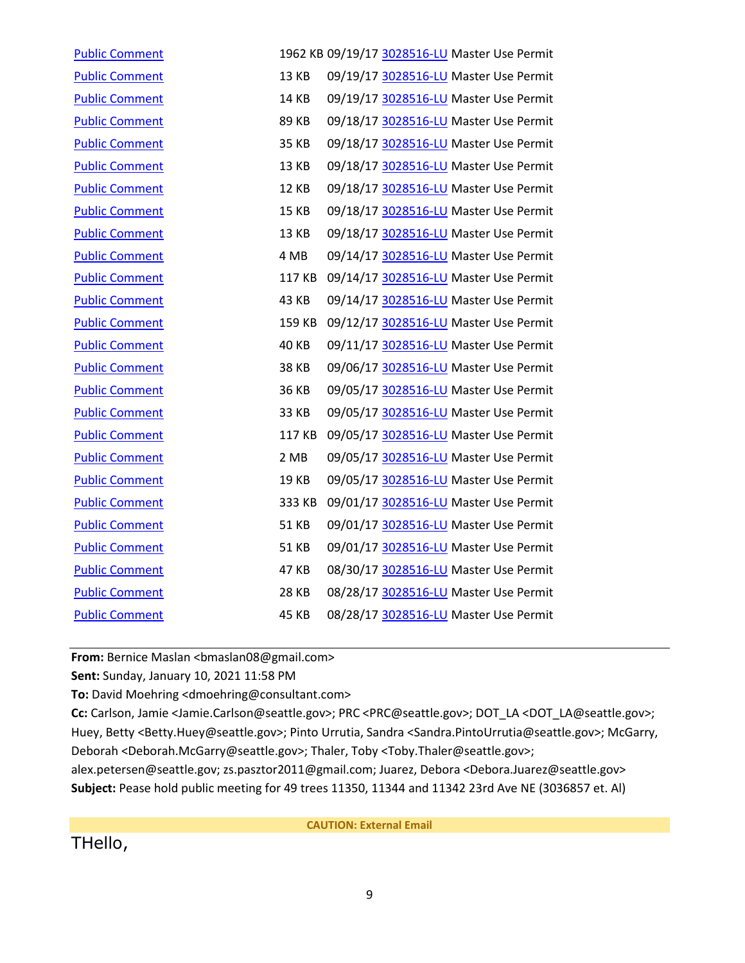| <b>Public Comment</b> |              | 1962 KB 09/19/17 3028516-LU Master Use Permit |
|-----------------------|--------------|-----------------------------------------------|
| <b>Public Comment</b> | <b>13 KB</b> | 09/19/17 3028516-LU Master Use Permit         |
| <b>Public Comment</b> | 14 KB        | 09/19/17 3028516-LU Master Use Permit         |
| <b>Public Comment</b> | 89 KB        | 09/18/17 3028516-LU Master Use Permit         |
| <b>Public Comment</b> | 35 KB        | 09/18/17 3028516-LU Master Use Permit         |
| <b>Public Comment</b> | <b>13 KB</b> | 09/18/17 3028516-LU Master Use Permit         |
| <b>Public Comment</b> | <b>12 KB</b> | 09/18/17 3028516-LU Master Use Permit         |
| <b>Public Comment</b> | <b>15 KB</b> | 09/18/17 3028516-LU Master Use Permit         |
| <b>Public Comment</b> | 13 KB        | 09/18/17 3028516-LU Master Use Permit         |
| <b>Public Comment</b> | 4 MB         | 09/14/17 3028516-LU Master Use Permit         |
| <b>Public Comment</b> | 117 KB       | 09/14/17 3028516-LU Master Use Permit         |
| <b>Public Comment</b> | 43 KB        | 09/14/17 3028516-LU Master Use Permit         |
| <b>Public Comment</b> | 159 KB       | 09/12/17 3028516-LU Master Use Permit         |
| <b>Public Comment</b> | <b>40 KB</b> | 09/11/17 3028516-LU Master Use Permit         |
| <b>Public Comment</b> | <b>38 KB</b> | 09/06/17 3028516-LU Master Use Permit         |
| <b>Public Comment</b> | 36 KB        | 09/05/17 3028516-LU Master Use Permit         |
| <b>Public Comment</b> | 33 KB        | 09/05/17 3028516-LU Master Use Permit         |
| <b>Public Comment</b> | 117 KB       | 09/05/17 3028516-LU Master Use Permit         |
| <b>Public Comment</b> | 2 MB         | 09/05/17 3028516-LU Master Use Permit         |
| <b>Public Comment</b> | <b>19 KB</b> | 09/05/17 3028516-LU Master Use Permit         |
| <b>Public Comment</b> | 333 KB       | 09/01/17 3028516-LU Master Use Permit         |
| <b>Public Comment</b> | <b>51 KB</b> | 09/01/17 3028516-LU Master Use Permit         |
| <b>Public Comment</b> | 51 KB        | 09/01/17 3028516-LU Master Use Permit         |
| <b>Public Comment</b> | 47 KB        | 08/30/17 3028516-LU Master Use Permit         |
| <b>Public Comment</b> | <b>28 KB</b> | 08/28/17 3028516-LU Master Use Permit         |
| <b>Public Comment</b> | <b>45 KB</b> | 08/28/17 3028516-LU Master Use Permit         |

From: Bernice Maslan <br/>bmaslan08@gmail.com>

**Sent:** Sunday, January 10, 2021 11:58 PM

**To:** David Moehring <dmoehring@consultant.com>

**Cc:** Carlson, Jamie <Jamie.Carlson@seattle.gov>; PRC <PRC@seattle.gov>; DOT\_LA <DOT\_LA@seattle.gov>; Huey, Betty <Betty.Huey@seattle.gov>; Pinto Urrutia, Sandra <Sandra.PintoUrrutia@seattle.gov>; McGarry, Deborah <Deborah.McGarry@seattle.gov>; Thaler, Toby <Toby.Thaler@seattle.gov>;

alex.petersen@seattle.gov; zs.pasztor2011@gmail.com; Juarez, Debora <Debora.Juarez@seattle.gov> **Subject:** Pease hold public meeting for 49 trees 11350, 11344 and 11342 23rd Ave NE (3036857 et. Al)

THello,

**CAUTION: External Email**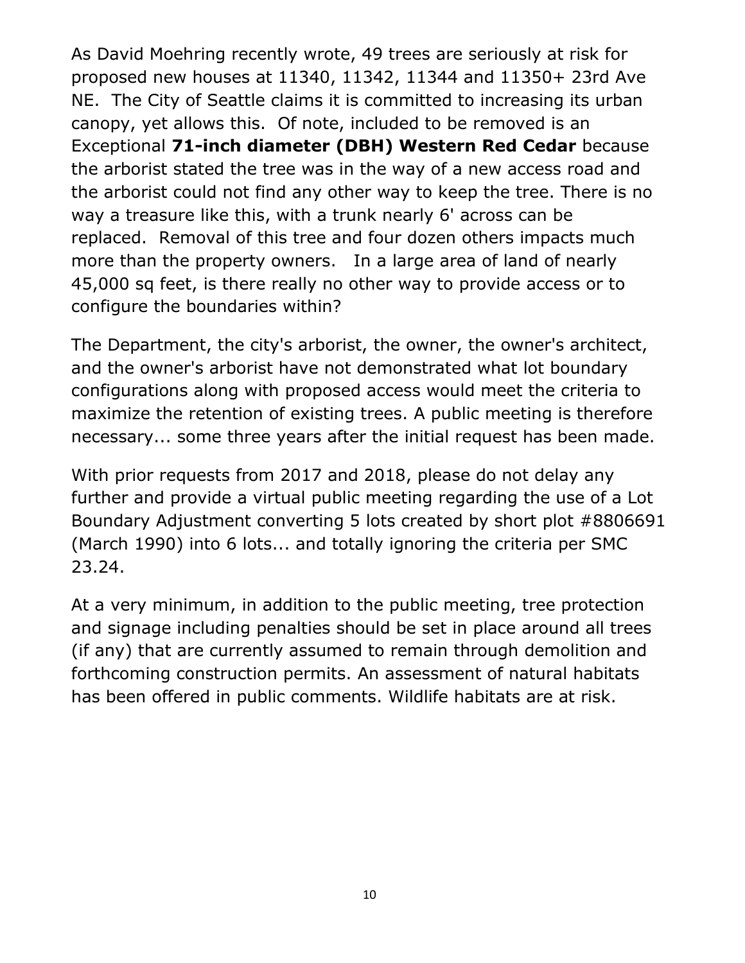As David Moehring recently wrote, 49 trees are seriously at risk for proposed new houses at 11340, 11342, 11344 and 11350+ 23rd Ave NE. The City of Seattle claims it is committed to increasing its urban canopy, yet allows this. Of note, included to be removed is an Exceptional **71-inch diameter (DBH) Western Red Cedar** because the arborist stated the tree was in the way of a new access road and the arborist could not find any other way to keep the tree. There is no way a treasure like this, with a trunk nearly 6' across can be replaced. Removal of this tree and four dozen others impacts much more than the property owners. In a large area of land of nearly 45,000 sq feet, is there really no other way to provide access or to configure the boundaries within?

The Department, the city's arborist, the owner, the owner's architect, and the owner's arborist have not demonstrated what lot boundary configurations along with proposed access would meet the criteria to maximize the retention of existing trees. A public meeting is therefore necessary... some three years after the initial request has been made.

With prior requests from 2017 and 2018, please do not delay any further and provide a virtual public meeting regarding the use of a Lot Boundary Adjustment converting 5 lots created by short plot #8806691 (March 1990) into 6 lots... and totally ignoring the criteria per SMC 23.24.

At a very minimum, in addition to the public meeting, tree protection and signage including penalties should be set in place around all trees (if any) that are currently assumed to remain through demolition and forthcoming construction permits. An assessment of natural habitats has been offered in public comments. Wildlife habitats are at risk.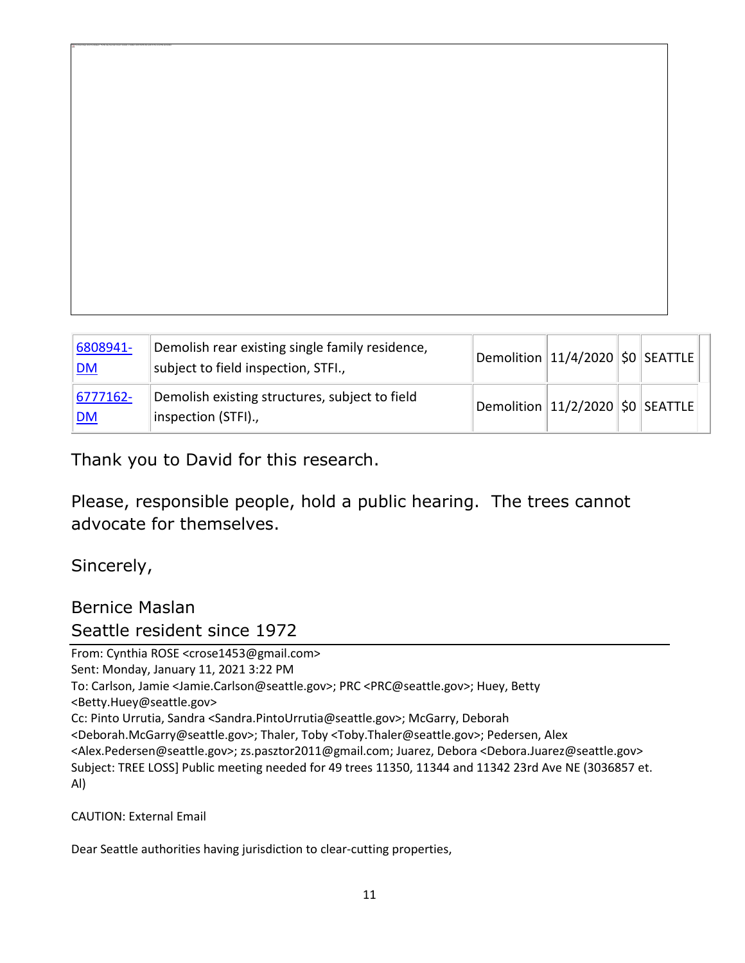| 6808941-<br>DM | Demolish rear existing single family residence,<br>subject to field inspection, STFI., | $ $ Demolition $ 11/4/2020$ $ \boldsymbol{\mathsf{SO}} $ SEATTLE $  \;  $ |  |  |
|----------------|----------------------------------------------------------------------------------------|---------------------------------------------------------------------------|--|--|
| 6777162-<br>DM | Demolish existing structures, subject to field<br>inspection (STFI).,                  | Demolition $11/2/2020$ \$0 SEATTLE                                        |  |  |

Thank you to David for this research.

Please, responsible people, hold a public hearing. The trees cannot advocate for themselves.

Sincerely,

The linked image cannot be displayed. The file may have been moved, renamed, or deleted. Verify that the link points to the correct file and location.

Bernice Maslan Seattle resident since 1972

From: Cynthia ROSE <crose1453@gmail.com> Sent: Monday, January 11, 2021 3:22 PM To: Carlson, Jamie <Jamie.Carlson@seattle.gov>; PRC <PRC@seattle.gov>; Huey, Betty <Betty.Huey@seattle.gov> Cc: Pinto Urrutia, Sandra <Sandra.PintoUrrutia@seattle.gov>; McGarry, Deborah <Deborah.McGarry@seattle.gov>; Thaler, Toby <Toby.Thaler@seattle.gov>; Pedersen, Alex <Alex.Pedersen@seattle.gov>; zs.pasztor2011@gmail.com; Juarez, Debora <Debora.Juarez@seattle.gov> Subject: TREE LOSS] Public meeting needed for 49 trees 11350, 11344 and 11342 23rd Ave NE (3036857 et. Al)

CAUTION: External Email

Dear Seattle authorities having jurisdiction to clear-cutting properties,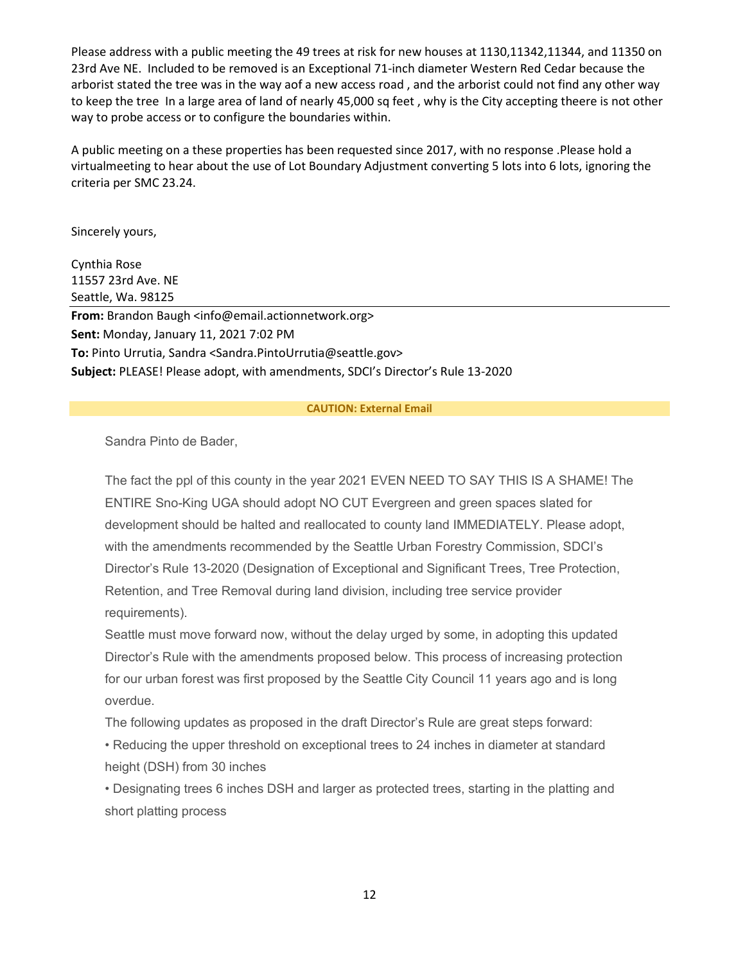Please address with a public meeting the 49 trees at risk for new houses at 1130,11342,11344, and 11350 on 23rd Ave NE. Included to be removed is an Exceptional 71-inch diameter Western Red Cedar because the arborist stated the tree was in the way aof a new access road , and the arborist could not find any other way to keep the tree In a large area of land of nearly 45,000 sq feet , why is the City accepting theere is not other way to probe access or to configure the boundaries within.

A public meeting on a these properties has been requested since 2017, with no response .Please hold a virtualmeeting to hear about the use of Lot Boundary Adjustment converting 5 lots into 6 lots, ignoring the criteria per SMC 23.24.

Sincerely yours,

Cynthia Rose 11557 23rd Ave. NE Seattle, Wa. 98125

**From:** Brandon Baugh <info@email.actionnetwork.org> **Sent:** Monday, January 11, 2021 7:02 PM **To:** Pinto Urrutia, Sandra <Sandra.PintoUrrutia@seattle.gov> **Subject:** PLEASE! Please adopt, with amendments, SDCI's Director's Rule 13-2020

### **CAUTION: External Email**

Sandra Pinto de Bader,

The fact the ppl of this county in the year 2021 EVEN NEED TO SAY THIS IS A SHAME! The ENTIRE Sno-King UGA should adopt NO CUT Evergreen and green spaces slated for development should be halted and reallocated to county land IMMEDIATELY. Please adopt, with the amendments recommended by the Seattle Urban Forestry Commission, SDCI's Director's Rule 13-2020 (Designation of Exceptional and Significant Trees, Tree Protection, Retention, and Tree Removal during land division, including tree service provider requirements).

Seattle must move forward now, without the delay urged by some, in adopting this updated Director's Rule with the amendments proposed below. This process of increasing protection for our urban forest was first proposed by the Seattle City Council 11 years ago and is long overdue.

The following updates as proposed in the draft Director's Rule are great steps forward:

• Reducing the upper threshold on exceptional trees to 24 inches in diameter at standard height (DSH) from 30 inches

• Designating trees 6 inches DSH and larger as protected trees, starting in the platting and short platting process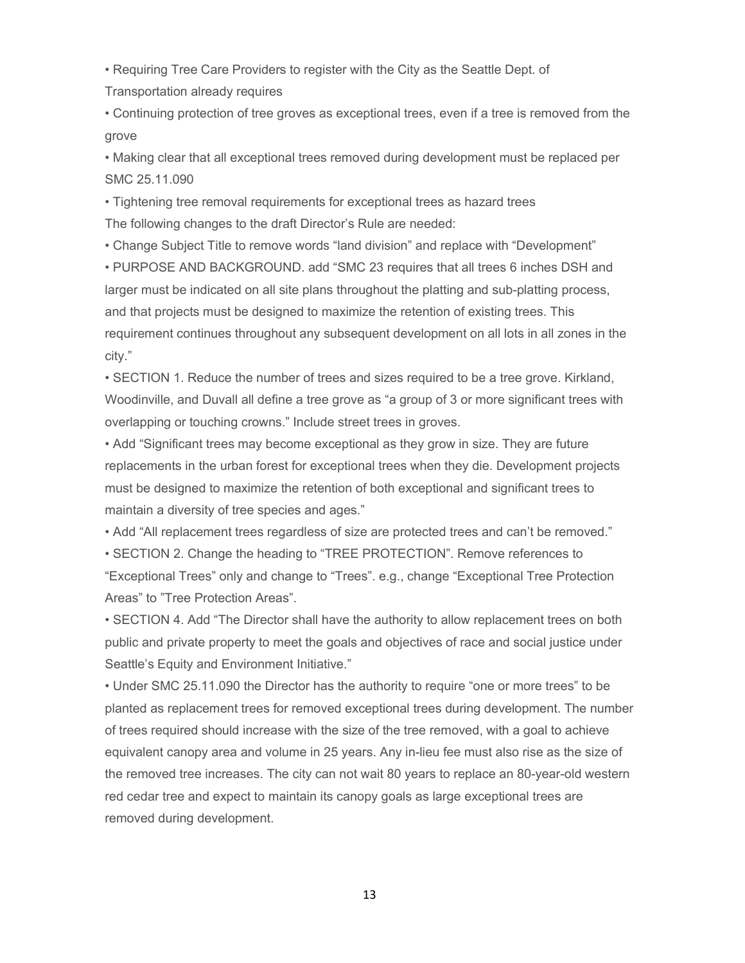• Requiring Tree Care Providers to register with the City as the Seattle Dept. of Transportation already requires

• Continuing protection of tree groves as exceptional trees, even if a tree is removed from the grove

• Making clear that all exceptional trees removed during development must be replaced per SMC 25.11.090

• Tightening tree removal requirements for exceptional trees as hazard trees The following changes to the draft Director's Rule are needed:

• Change Subject Title to remove words "land division" and replace with "Development"

• PURPOSE AND BACKGROUND. add "SMC 23 requires that all trees 6 inches DSH and larger must be indicated on all site plans throughout the platting and sub-platting process, and that projects must be designed to maximize the retention of existing trees. This requirement continues throughout any subsequent development on all lots in all zones in the city."

• SECTION 1. Reduce the number of trees and sizes required to be a tree grove. Kirkland, Woodinville, and Duvall all define a tree grove as "a group of 3 or more significant trees with overlapping or touching crowns." Include street trees in groves.

• Add "Significant trees may become exceptional as they grow in size. They are future replacements in the urban forest for exceptional trees when they die. Development projects must be designed to maximize the retention of both exceptional and significant trees to maintain a diversity of tree species and ages."

• Add "All replacement trees regardless of size are protected trees and can't be removed."

• SECTION 2. Change the heading to "TREE PROTECTION". Remove references to "Exceptional Trees" only and change to "Trees". e.g., change "Exceptional Tree Protection Areas" to "Tree Protection Areas".

• SECTION 4. Add "The Director shall have the authority to allow replacement trees on both public and private property to meet the goals and objectives of race and social justice under Seattle's Equity and Environment Initiative."

• Under SMC 25.11.090 the Director has the authority to require "one or more trees" to be planted as replacement trees for removed exceptional trees during development. The number of trees required should increase with the size of the tree removed, with a goal to achieve equivalent canopy area and volume in 25 years. Any in-lieu fee must also rise as the size of the removed tree increases. The city can not wait 80 years to replace an 80-year-old western red cedar tree and expect to maintain its canopy goals as large exceptional trees are removed during development.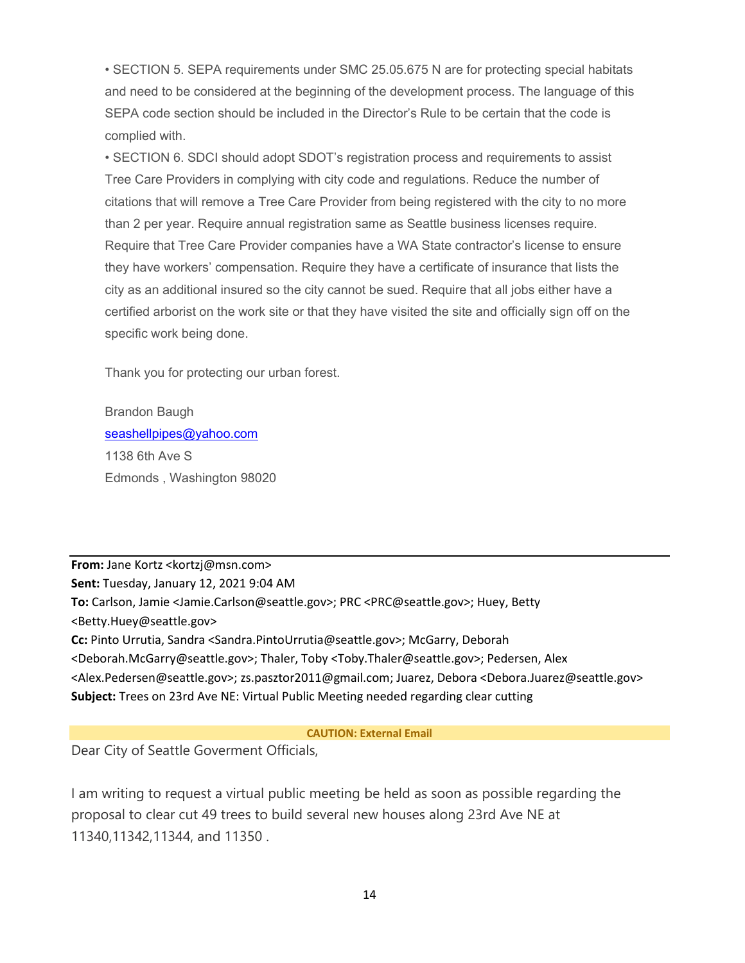• SECTION 5. SEPA requirements under SMC 25.05.675 N are for protecting special habitats and need to be considered at the beginning of the development process. The language of this SEPA code section should be included in the Director's Rule to be certain that the code is complied with.

• SECTION 6. SDCI should adopt SDOT's registration process and requirements to assist Tree Care Providers in complying with city code and regulations. Reduce the number of citations that will remove a Tree Care Provider from being registered with the city to no more than 2 per year. Require annual registration same as Seattle business licenses require. Require that Tree Care Provider companies have a WA State contractor's license to ensure they have workers' compensation. Require they have a certificate of insurance that lists the city as an additional insured so the city cannot be sued. Require that all jobs either have a certified arborist on the work site or that they have visited the site and officially sign off on the specific work being done.

Thank you for protecting our urban forest.

Brandon Baugh [seashellpipes@yahoo.com](mailto:seashellpipes@yahoo.com) 1138 6th Ave S Edmonds , Washington 98020

**From:** Jane Kortz <kortzj@msn.com> **Sent:** Tuesday, January 12, 2021 9:04 AM **To:** Carlson, Jamie <Jamie.Carlson@seattle.gov>; PRC <PRC@seattle.gov>; Huey, Betty <Betty.Huey@seattle.gov> **Cc:** Pinto Urrutia, Sandra <Sandra.PintoUrrutia@seattle.gov>; McGarry, Deborah <Deborah.McGarry@seattle.gov>; Thaler, Toby <Toby.Thaler@seattle.gov>; Pedersen, Alex <Alex.Pedersen@seattle.gov>; zs.pasztor2011@gmail.com; Juarez, Debora <Debora.Juarez@seattle.gov> **Subject:** Trees on 23rd Ave NE: Virtual Public Meeting needed regarding clear cutting

**CAUTION: External Email**

Dear City of Seattle Goverment Officials,

I am writing to request a virtual public meeting be held as soon as possible regarding the proposal to clear cut 49 trees to build several new houses along 23rd Ave NE at 11340,11342,11344, and 11350 .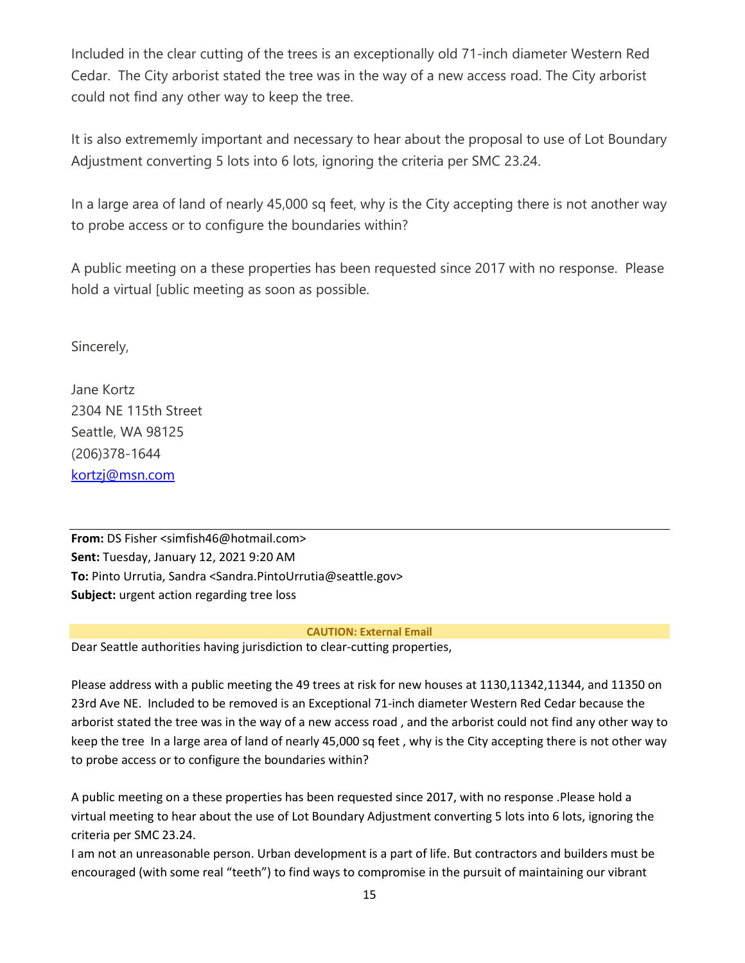Included in the clear cutting of the trees is an exceptionally old 71-inch diameter Western Red Cedar. The City arborist stated the tree was in the way of a new access road. The City arborist could not find any other way to keep the tree.

It is also extrememly important and necessary to hear about the proposal to use of Lot Boundary Adjustment converting 5 lots into 6 lots, ignoring the criteria per SMC 23.24.

In a large area of land of nearly 45,000 sq feet, why is the City accepting there is not another way to probe access or to configure the boundaries within?

A public meeting on a these properties has been requested since 2017 with no response. Please hold a virtual [ublic meeting as soon as possible.

Sincerely,

Jane Kortz 2304 NE 115th Street Seattle, WA 98125 (206)378-1644 [kortzj@msn.com](mailto:kortzj@msn.com)

**From:** DS Fisher <simfish46@hotmail.com> **Sent:** Tuesday, January 12, 2021 9:20 AM **To:** Pinto Urrutia, Sandra <Sandra.PintoUrrutia@seattle.gov> **Subject:** urgent action regarding tree loss

### **CAUTION: External Email**

Dear Seattle authorities having jurisdiction to clear-cutting properties,

Please address with a public meeting the 49 trees at risk for new houses at 1130,11342,11344, and 11350 on 23rd Ave NE. Included to be removed is an Exceptional 71-inch diameter Western Red Cedar because the arborist stated the tree was in the way of a new access road , and the arborist could not find any other way to keep the tree In a large area of land of nearly 45,000 sq feet , why is the City accepting there is not other way to probe access or to configure the boundaries within?

A public meeting on a these properties has been requested since 2017, with no response .Please hold a virtual meeting to hear about the use of Lot Boundary Adjustment converting 5 lots into 6 lots, ignoring the criteria per SMC 23.24.

I am not an unreasonable person. Urban development is a part of life. But contractors and builders must be encouraged (with some real "teeth") to find ways to compromise in the pursuit of maintaining our vibrant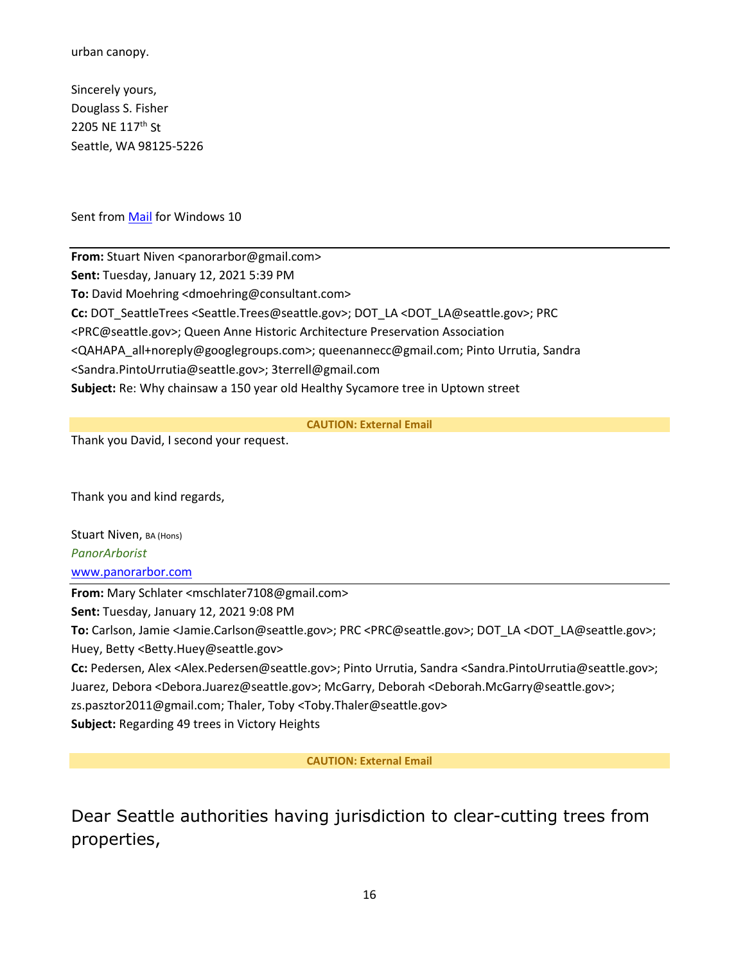urban canopy.

Sincerely yours, Douglass S. Fisher 2205 NE 117<sup>th</sup> St Seattle, WA 98125-5226

Sent from [Mail](https://protect2.fireeye.com/v1/url?k=29b16b58-762a5247-29b143e8-8630ffab37ab-591bf83b5d12f26a&q=1&e=27b08264-e4ec-459a-a591-b82dd65237bf&u=https%3A%2F%2Fgo.microsoft.com%2Ffwlink%2F%3FLinkId%3D550986) for Windows 10

**From:** Stuart Niven <panorarbor@gmail.com> **Sent:** Tuesday, January 12, 2021 5:39 PM **To:** David Moehring <dmoehring@consultant.com> **Cc:** DOT\_SeattleTrees <Seattle.Trees@seattle.gov>; DOT\_LA <DOT\_LA@seattle.gov>; PRC <PRC@seattle.gov>; Queen Anne Historic Architecture Preservation Association <QAHAPA\_all+noreply@googlegroups.com>; queenannecc@gmail.com; Pinto Urrutia, Sandra <Sandra.PintoUrrutia@seattle.gov>; 3terrell@gmail.com **Subject:** Re: Why chainsaw a 150 year old Healthy Sycamore tree in Uptown street

**CAUTION: External Email**

Thank you David, I second your request.

Thank you and kind regards,

Stuart Niven, BA (Hons) *PanorArborist* [www.panorarbor.com](https://protect2.fireeye.com/v1/url?k=2dd8ac5d-7243956f-2dd884ed-8697e44c76c2-8f33d99c7008b09c&q=1&e=a0e943f2-69cf-4cc0-a863-1a6c21d0d32f&u=http%3A%2F%2Fwww.panorarbor.com%2F)

**From:** Mary Schlater <mschlater7108@gmail.com>

**Sent:** Tuesday, January 12, 2021 9:08 PM

**To:** Carlson, Jamie <Jamie.Carlson@seattle.gov>; PRC <PRC@seattle.gov>; DOT\_LA <DOT\_LA@seattle.gov>; Huey, Betty <Betty.Huey@seattle.gov>

**Cc:** Pedersen, Alex <Alex.Pedersen@seattle.gov>; Pinto Urrutia, Sandra <Sandra.PintoUrrutia@seattle.gov>; Juarez, Debora <Debora.Juarez@seattle.gov>; McGarry, Deborah <Deborah.McGarry@seattle.gov>;

zs.pasztor2011@gmail.com; Thaler, Toby <Toby.Thaler@seattle.gov>

**Subject:** Regarding 49 trees in Victory Heights

**CAUTION: External Email**

Dear Seattle authorities having jurisdiction to clear-cutting trees from properties,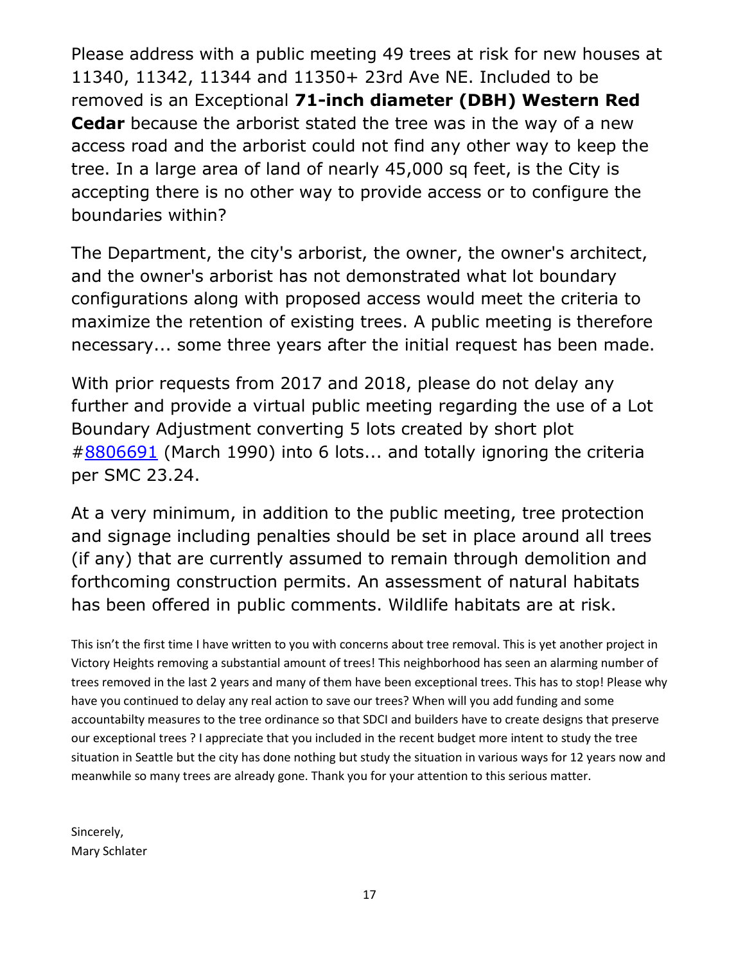Please address with a public meeting 49 trees at risk for new houses at 11340, 11342, 11344 and 11350+ 23rd Ave NE. Included to be removed is an Exceptional **71-inch diameter (DBH) Western Red Cedar** because the arborist stated the tree was in the way of a new access road and the arborist could not find any other way to keep the tree. In a large area of land of nearly 45,000 sq feet, is the City is accepting there is no other way to provide access or to configure the boundaries within?

The Department, the city's arborist, the owner, the owner's architect, and the owner's arborist has not demonstrated what lot boundary configurations along with proposed access would meet the criteria to maximize the retention of existing trees. A public meeting is therefore necessary... some three years after the initial request has been made.

With prior requests from 2017 and 2018, please do not delay any further and provide a virtual public meeting regarding the use of a Lot Boundary Adjustment converting 5 lots created by short plot [#8806691](tel:8806691) (March 1990) into 6 lots... and totally ignoring the criteria per SMC 23.24.

At a very minimum, in addition to the public meeting, tree protection and signage including penalties should be set in place around all trees (if any) that are currently assumed to remain through demolition and forthcoming construction permits. An assessment of natural habitats has been offered in public comments. Wildlife habitats are at risk.

This isn't the first time I have written to you with concerns about tree removal. This is yet another project in Victory Heights removing a substantial amount of trees! This neighborhood has seen an alarming number of trees removed in the last 2 years and many of them have been exceptional trees. This has to stop! Please why have you continued to delay any real action to save our trees? When will you add funding and some accountabilty measures to the tree ordinance so that SDCI and builders have to create designs that preserve our exceptional trees ? I appreciate that you included in the recent budget more intent to study the tree situation in Seattle but the city has done nothing but study the situation in various ways for 12 years now and meanwhile so many trees are already gone. Thank you for your attention to this serious matter.

Sincerely, Mary Schlater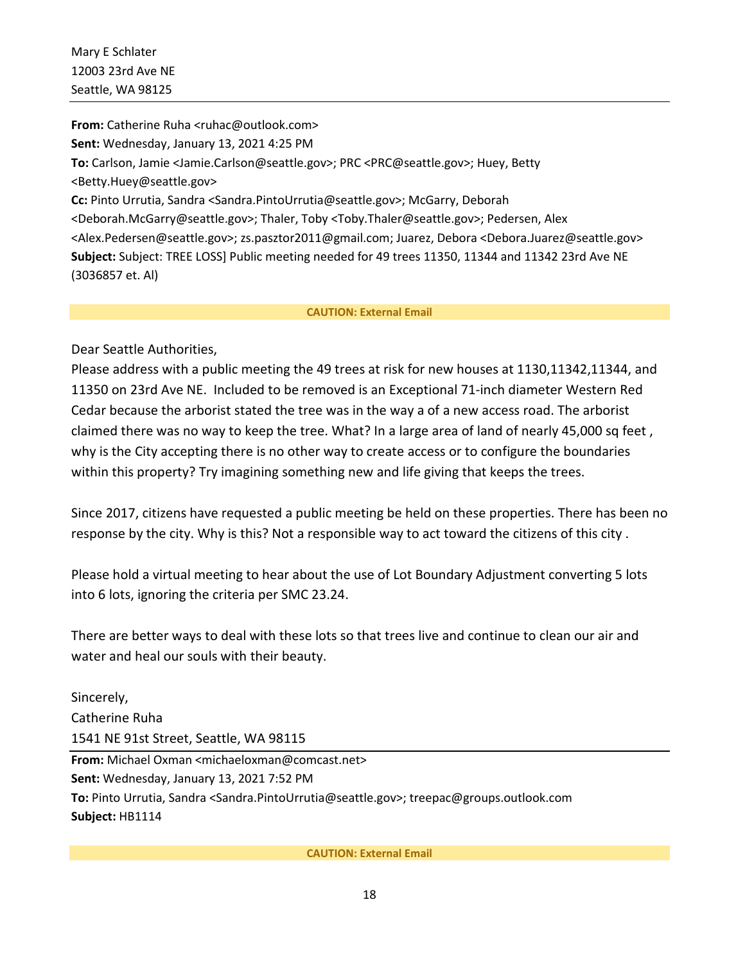**From:** Catherine Ruha <ruhac@outlook.com> **Sent:** Wednesday, January 13, 2021 4:25 PM **To:** Carlson, Jamie <Jamie.Carlson@seattle.gov>; PRC <PRC@seattle.gov>; Huey, Betty <Betty.Huey@seattle.gov> **Cc:** Pinto Urrutia, Sandra <Sandra.PintoUrrutia@seattle.gov>; McGarry, Deborah <Deborah.McGarry@seattle.gov>; Thaler, Toby <Toby.Thaler@seattle.gov>; Pedersen, Alex <Alex.Pedersen@seattle.gov>; zs.pasztor2011@gmail.com; Juarez, Debora <Debora.Juarez@seattle.gov> **Subject:** Subject: TREE LOSS] Public meeting needed for 49 trees 11350, 11344 and 11342 23rd Ave NE (3036857 et. Al)

#### **CAUTION: External Email**

Dear Seattle Authorities,

Please address with a public meeting the 49 trees at risk for new houses at 1130,11342,11344, and 11350 on 23rd Ave NE. Included to be removed is an Exceptional 71-inch diameter Western Red Cedar because the arborist stated the tree was in the way a of a new access road. The arborist claimed there was no way to keep the tree. What? In a large area of land of nearly 45,000 sq feet , why is the City accepting there is no other way to create access or to configure the boundaries within this property? Try imagining something new and life giving that keeps the trees.

Since 2017, citizens have requested a public meeting be held on these properties. There has been no response by the city. Why is this? Not a responsible way to act toward the citizens of this city .

Please hold a virtual meeting to hear about the use of Lot Boundary Adjustment converting 5 lots into 6 lots, ignoring the criteria per SMC 23.24.

There are better ways to deal with these lots so that trees live and continue to clean our air and water and heal our souls with their beauty.

Sincerely, Catherine Ruha 1541 NE 91st Street, Seattle, WA 98115 **From:** Michael Oxman <michaeloxman@comcast.net> **Sent:** Wednesday, January 13, 2021 7:52 PM **To:** Pinto Urrutia, Sandra <Sandra.PintoUrrutia@seattle.gov>; treepac@groups.outlook.com **Subject:** HB1114

### **CAUTION: External Email**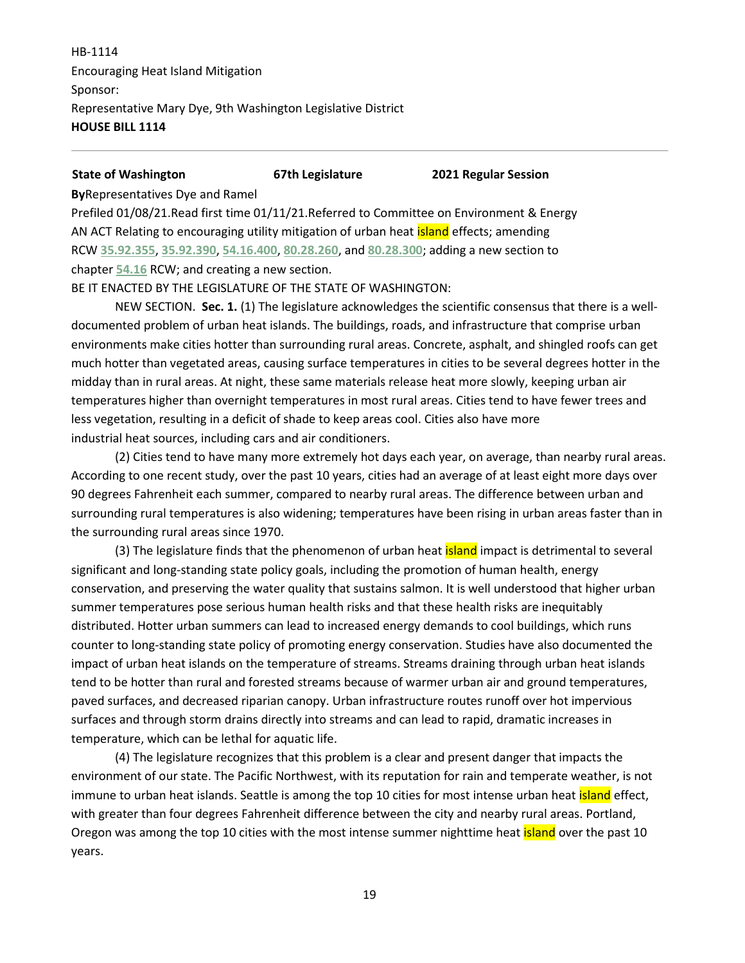HB-1114 Encouraging Heat Island Mitigation Sponsor: Representative Mary Dye, 9th Washington Legislative District **HOUSE BILL 1114**

**State of Washington 67th Legislature 2021 Regular Session**

**By**Representatives Dye and Ramel

Prefiled 01/08/21.Read first time 01/11/21.Referred to Committee on Environment & Energy AN ACT Relating to encouraging utility mitigation of urban heat *island* effects; amending RCW **[35.92.355](http://app.leg.wa.gov/RCW/default.aspx?cite=35.92.355)**, **[35.92.390](http://app.leg.wa.gov/RCW/default.aspx?cite=35.92.390)**, **[54.16.400](http://app.leg.wa.gov/RCW/default.aspx?cite=54.16.400)**, **[80.28.260](http://app.leg.wa.gov/RCW/default.aspx?cite=80.28.260)**, and **[80.28.300](http://app.leg.wa.gov/RCW/default.aspx?cite=80.28.300)**; adding a new section to chapter **[54.16](http://app.leg.wa.gov/RCW/default.aspx?cite=54.16)** RCW; and creating a new section.

BE IT ENACTED BY THE LEGISLATURE OF THE STATE OF WASHINGTON:

NEW SECTION. **Sec. 1.** (1) The legislature acknowledges the scientific consensus that there is a welldocumented problem of urban heat islands. The buildings, roads, and infrastructure that comprise urban environments make cities hotter than surrounding rural areas. Concrete, asphalt, and shingled roofs can get much hotter than vegetated areas, causing surface temperatures in cities to be several degrees hotter in the midday than in rural areas. At night, these same materials release heat more slowly, keeping urban air temperatures higher than overnight temperatures in most rural areas. Cities tend to have fewer trees and less vegetation, resulting in a deficit of shade to keep areas cool. Cities also have more industrial heat sources, including cars and air conditioners.

(2) Cities tend to have many more extremely hot days each year, on average, than nearby rural areas. According to one recent study, over the past 10 years, cities had an average of at least eight more days over 90 degrees Fahrenheit each summer, compared to nearby rural areas. The difference between urban and surrounding rural temperatures is also widening; temperatures have been rising in urban areas faster than in the surrounding rural areas since 1970.

(3) The legislature finds that the phenomenon of urban heat *island* impact is detrimental to several significant and long-standing state policy goals, including the promotion of human health, energy conservation, and preserving the water quality that sustains salmon. It is well understood that higher urban summer temperatures pose serious human health risks and that these health risks are inequitably distributed. Hotter urban summers can lead to increased energy demands to cool buildings, which runs counter to long-standing state policy of promoting energy conservation. Studies have also documented the impact of urban heat islands on the temperature of streams. Streams draining through urban heat islands tend to be hotter than rural and forested streams because of warmer urban air and ground temperatures, paved surfaces, and decreased riparian canopy. Urban infrastructure routes runoff over hot impervious surfaces and through storm drains directly into streams and can lead to rapid, dramatic increases in temperature, which can be lethal for aquatic life.

(4) The legislature recognizes that this problem is a clear and present danger that impacts the environment of our state. The Pacific Northwest, with its reputation for rain and temperate weather, is not immune to urban heat islands. Seattle is among the top 10 cities for most intense urban heat **island** effect, with greater than four degrees Fahrenheit difference between the city and nearby rural areas. Portland, Oregon was among the top 10 cities with the most intense summer nighttime heat *island* over the past 10 years.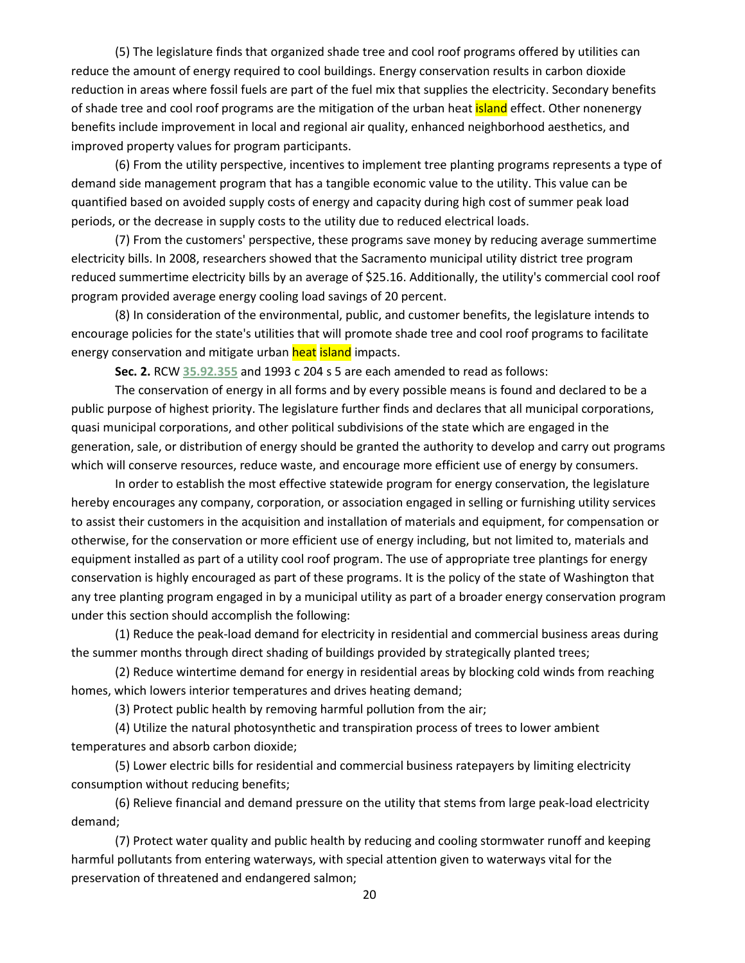(5) The legislature finds that organized shade tree and cool roof programs offered by utilities can reduce the amount of energy required to cool buildings. Energy conservation results in carbon dioxide reduction in areas where fossil fuels are part of the fuel mix that supplies the electricity. Secondary benefits of shade tree and cool roof programs are the mitigation of the urban heat **island** effect. Other nonenergy benefits include improvement in local and regional air quality, enhanced neighborhood aesthetics, and improved property values for program participants.

(6) From the utility perspective, incentives to implement tree planting programs represents a type of demand side management program that has a tangible economic value to the utility. This value can be quantified based on avoided supply costs of energy and capacity during high cost of summer peak load periods, or the decrease in supply costs to the utility due to reduced electrical loads.

(7) From the customers' perspective, these programs save money by reducing average summertime electricity bills. In 2008, researchers showed that the Sacramento municipal utility district tree program reduced summertime electricity bills by an average of \$25.16. Additionally, the utility's commercial cool roof program provided average energy cooling load savings of 20 percent.

(8) In consideration of the environmental, public, and customer benefits, the legislature intends to encourage policies for the state's utilities that will promote shade tree and cool roof programs to facilitate energy conservation and mitigate urban heat island impacts.

**Sec. 2.** RCW **[35.92.355](http://app.leg.wa.gov/RCW/default.aspx?cite=35.92.355)** and 1993 c 204 s 5 are each amended to read as follows:

The conservation of energy in all forms and by every possible means is found and declared to be a public purpose of highest priority. The legislature further finds and declares that all municipal corporations, quasi municipal corporations, and other political subdivisions of the state which are engaged in the generation, sale, or distribution of energy should be granted the authority to develop and carry out programs which will conserve resources, reduce waste, and encourage more efficient use of energy by consumers.

In order to establish the most effective statewide program for energy conservation, the legislature hereby encourages any company, corporation, or association engaged in selling or furnishing utility services to assist their customers in the acquisition and installation of materials and equipment, for compensation or otherwise, for the conservation or more efficient use of energy including, but not limited to, materials and equipment installed as part of a utility cool roof program. The use of appropriate tree plantings for energy conservation is highly encouraged as part of these programs. It is the policy of the state of Washington that any tree planting program engaged in by a municipal utility as part of a broader energy conservation program under this section should accomplish the following:

(1) Reduce the peak-load demand for electricity in residential and commercial business areas during the summer months through direct shading of buildings provided by strategically planted trees;

(2) Reduce wintertime demand for energy in residential areas by blocking cold winds from reaching homes, which lowers interior temperatures and drives heating demand;

(3) Protect public health by removing harmful pollution from the air;

(4) Utilize the natural photosynthetic and transpiration process of trees to lower ambient temperatures and absorb carbon dioxide;

(5) Lower electric bills for residential and commercial business ratepayers by limiting electricity consumption without reducing benefits;

(6) Relieve financial and demand pressure on the utility that stems from large peak-load electricity demand;

(7) Protect water quality and public health by reducing and cooling stormwater runoff and keeping harmful pollutants from entering waterways, with special attention given to waterways vital for the preservation of threatened and endangered salmon;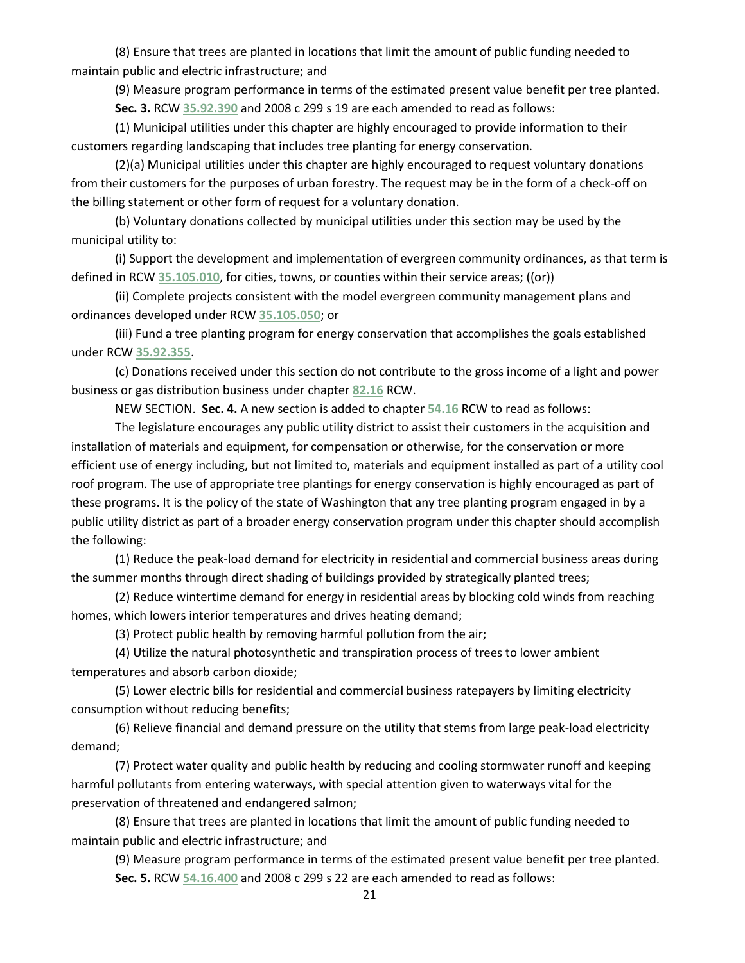(8) Ensure that trees are planted in locations that limit the amount of public funding needed to maintain public and electric infrastructure; and

(9) Measure program performance in terms of the estimated present value benefit per tree planted.

**Sec. 3.** RCW **[35.92.390](http://app.leg.wa.gov/RCW/default.aspx?cite=35.92.390)** and 2008 c 299 s 19 are each amended to read as follows:

(1) Municipal utilities under this chapter are highly encouraged to provide information to their customers regarding landscaping that includes tree planting for energy conservation.

(2)(a) Municipal utilities under this chapter are highly encouraged to request voluntary donations from their customers for the purposes of urban forestry. The request may be in the form of a check-off on the billing statement or other form of request for a voluntary donation.

(b) Voluntary donations collected by municipal utilities under this section may be used by the municipal utility to:

(i) Support the development and implementation of evergreen community ordinances, as that term is defined in RCW **[35.105.010](http://app.leg.wa.gov/RCW/default.aspx?cite=35.105.010)**, for cities, towns, or counties within their service areas; ((or))

(ii) Complete projects consistent with the model evergreen community management plans and ordinances developed under RCW **[35.105.050](http://app.leg.wa.gov/RCW/default.aspx?cite=35.105.050)**; or

(iii) Fund a tree planting program for energy conservation that accomplishes the goals established under RCW **[35.92.355](http://app.leg.wa.gov/RCW/default.aspx?cite=35.92.355)**.

(c) Donations received under this section do not contribute to the gross income of a light and power business or gas distribution business under chapter **[82.16](http://app.leg.wa.gov/RCW/default.aspx?cite=82.16)** RCW.

NEW SECTION. **Sec. 4.** A new section is added to chapter **[54.16](http://app.leg.wa.gov/RCW/default.aspx?cite=54.16)** RCW to read as follows:

The legislature encourages any public utility district to assist their customers in the acquisition and installation of materials and equipment, for compensation or otherwise, for the conservation or more efficient use of energy including, but not limited to, materials and equipment installed as part of a utility cool roof program. The use of appropriate tree plantings for energy conservation is highly encouraged as part of these programs. It is the policy of the state of Washington that any tree planting program engaged in by a public utility district as part of a broader energy conservation program under this chapter should accomplish the following:

(1) Reduce the peak-load demand for electricity in residential and commercial business areas during the summer months through direct shading of buildings provided by strategically planted trees;

(2) Reduce wintertime demand for energy in residential areas by blocking cold winds from reaching homes, which lowers interior temperatures and drives heating demand;

(3) Protect public health by removing harmful pollution from the air;

(4) Utilize the natural photosynthetic and transpiration process of trees to lower ambient temperatures and absorb carbon dioxide;

(5) Lower electric bills for residential and commercial business ratepayers by limiting electricity consumption without reducing benefits;

(6) Relieve financial and demand pressure on the utility that stems from large peak-load electricity demand;

(7) Protect water quality and public health by reducing and cooling stormwater runoff and keeping harmful pollutants from entering waterways, with special attention given to waterways vital for the preservation of threatened and endangered salmon;

(8) Ensure that trees are planted in locations that limit the amount of public funding needed to maintain public and electric infrastructure; and

(9) Measure program performance in terms of the estimated present value benefit per tree planted. **Sec. 5.** RCW **[54.16.400](http://app.leg.wa.gov/RCW/default.aspx?cite=54.16.400)** and 2008 c 299 s 22 are each amended to read as follows: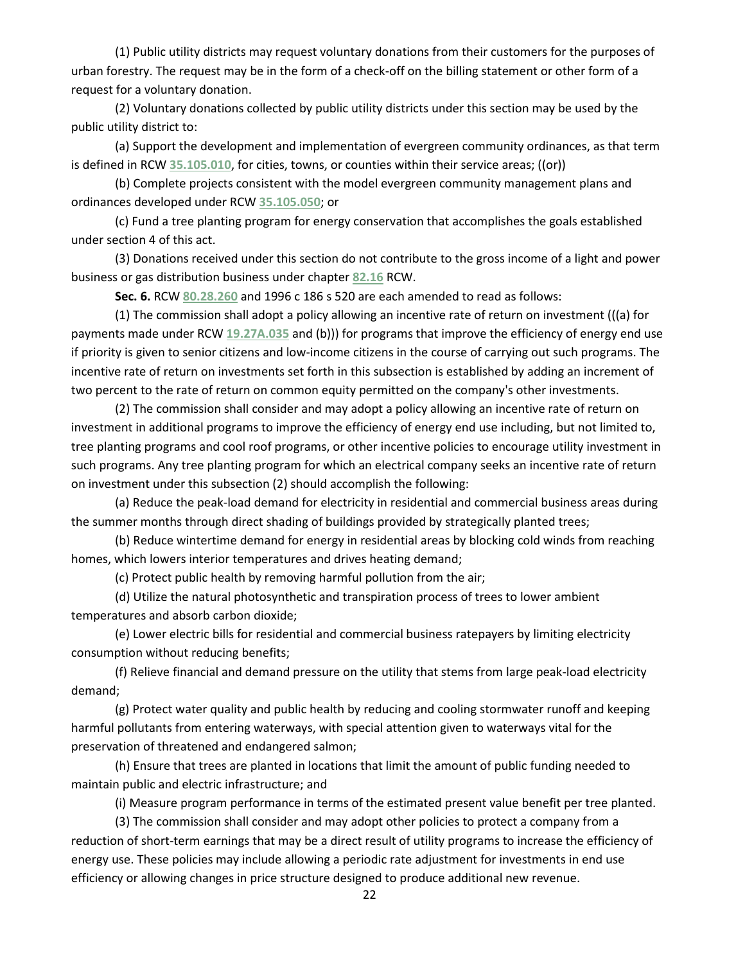(1) Public utility districts may request voluntary donations from their customers for the purposes of urban forestry. The request may be in the form of a check-off on the billing statement or other form of a request for a voluntary donation.

(2) Voluntary donations collected by public utility districts under this section may be used by the public utility district to:

(a) Support the development and implementation of evergreen community ordinances, as that term is defined in RCW **[35.105.010](http://app.leg.wa.gov/RCW/default.aspx?cite=35.105.010)**, for cities, towns, or counties within their service areas; ((or))

(b) Complete projects consistent with the model evergreen community management plans and ordinances developed under RCW **[35.105.050](http://app.leg.wa.gov/RCW/default.aspx?cite=35.105.050)**; or

(c) Fund a tree planting program for energy conservation that accomplishes the goals established under section 4 of this act.

(3) Donations received under this section do not contribute to the gross income of a light and power business or gas distribution business under chapter **[82.16](http://app.leg.wa.gov/RCW/default.aspx?cite=82.16)** RCW.

**Sec. 6.** RCW **[80.28.260](http://app.leg.wa.gov/RCW/default.aspx?cite=80.28.260)** and 1996 c 186 s 520 are each amended to read as follows:

(1) The commission shall adopt a policy allowing an incentive rate of return on investment (((a) for payments made under RCW **[19.27A.035](http://app.leg.wa.gov/RCW/default.aspx?cite=19.27A.035)** and (b))) for programs that improve the efficiency of energy end use if priority is given to senior citizens and low-income citizens in the course of carrying out such programs. The incentive rate of return on investments set forth in this subsection is established by adding an increment of two percent to the rate of return on common equity permitted on the company's other investments.

(2) The commission shall consider and may adopt a policy allowing an incentive rate of return on investment in additional programs to improve the efficiency of energy end use including, but not limited to, tree planting programs and cool roof programs, or other incentive policies to encourage utility investment in such programs. Any tree planting program for which an electrical company seeks an incentive rate of return on investment under this subsection (2) should accomplish the following:

(a) Reduce the peak-load demand for electricity in residential and commercial business areas during the summer months through direct shading of buildings provided by strategically planted trees;

(b) Reduce wintertime demand for energy in residential areas by blocking cold winds from reaching homes, which lowers interior temperatures and drives heating demand;

(c) Protect public health by removing harmful pollution from the air;

(d) Utilize the natural photosynthetic and transpiration process of trees to lower ambient temperatures and absorb carbon dioxide;

(e) Lower electric bills for residential and commercial business ratepayers by limiting electricity consumption without reducing benefits;

(f) Relieve financial and demand pressure on the utility that stems from large peak-load electricity demand;

(g) Protect water quality and public health by reducing and cooling stormwater runoff and keeping harmful pollutants from entering waterways, with special attention given to waterways vital for the preservation of threatened and endangered salmon;

(h) Ensure that trees are planted in locations that limit the amount of public funding needed to maintain public and electric infrastructure; and

(i) Measure program performance in terms of the estimated present value benefit per tree planted.

(3) The commission shall consider and may adopt other policies to protect a company from a reduction of short-term earnings that may be a direct result of utility programs to increase the efficiency of energy use. These policies may include allowing a periodic rate adjustment for investments in end use efficiency or allowing changes in price structure designed to produce additional new revenue.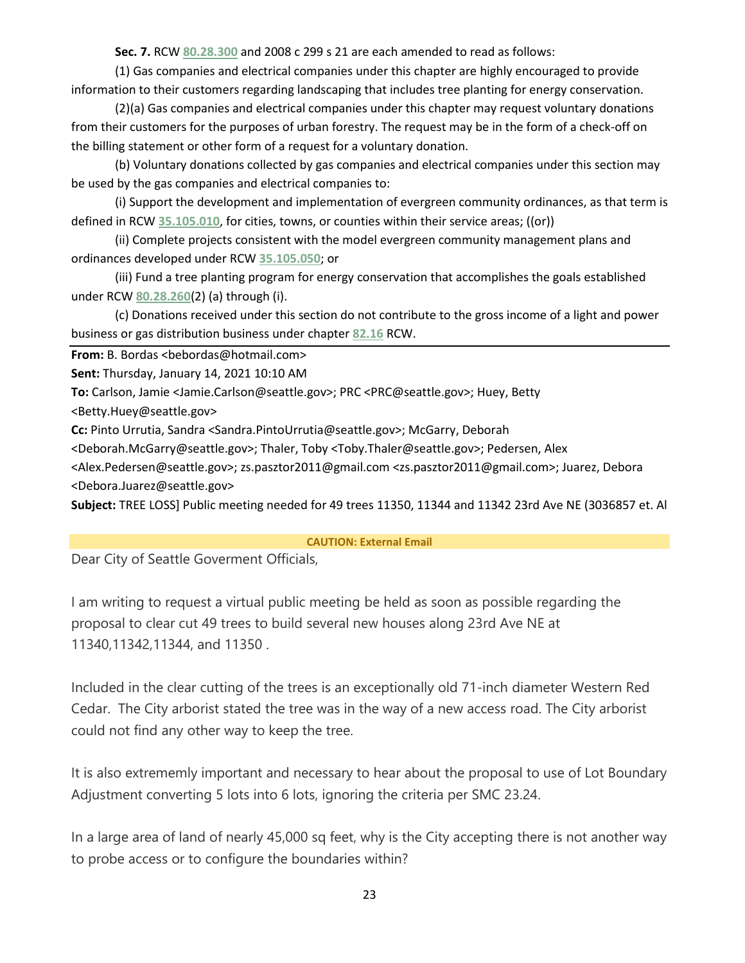**Sec. 7.** RCW **[80.28.300](http://app.leg.wa.gov/RCW/default.aspx?cite=80.28.300)** and 2008 c 299 s 21 are each amended to read as follows:

(1) Gas companies and electrical companies under this chapter are highly encouraged to provide information to their customers regarding landscaping that includes tree planting for energy conservation.

(2)(a) Gas companies and electrical companies under this chapter may request voluntary donations from their customers for the purposes of urban forestry. The request may be in the form of a check-off on the billing statement or other form of a request for a voluntary donation.

(b) Voluntary donations collected by gas companies and electrical companies under this section may be used by the gas companies and electrical companies to:

(i) Support the development and implementation of evergreen community ordinances, as that term is defined in RCW **[35.105.010](http://app.leg.wa.gov/RCW/default.aspx?cite=35.105.010)**, for cities, towns, or counties within their service areas; ((or))

(ii) Complete projects consistent with the model evergreen community management plans and ordinances developed under RCW **[35.105.050](http://app.leg.wa.gov/RCW/default.aspx?cite=35.105.050)**; or

(iii) Fund a tree planting program for energy conservation that accomplishes the goals established under RCW **[80.28.260](http://app.leg.wa.gov/RCW/default.aspx?cite=80.28.260)**(2) (a) through (i).

(c) Donations received under this section do not contribute to the gross income of a light and power business or gas distribution business under chapter **[82.16](http://app.leg.wa.gov/RCW/default.aspx?cite=82.16)** RCW.

**From:** B. Bordas <bebordas@hotmail.com>

**Sent:** Thursday, January 14, 2021 10:10 AM

**To:** Carlson, Jamie <Jamie.Carlson@seattle.gov>; PRC <PRC@seattle.gov>; Huey, Betty

<Betty.Huey@seattle.gov>

**Cc:** Pinto Urrutia, Sandra <Sandra.PintoUrrutia@seattle.gov>; McGarry, Deborah

<Deborah.McGarry@seattle.gov>; Thaler, Toby <Toby.Thaler@seattle.gov>; Pedersen, Alex

<Alex.Pedersen@seattle.gov>; zs.pasztor2011@gmail.com <zs.pasztor2011@gmail.com>; Juarez, Debora <Debora.Juarez@seattle.gov>

**Subject:** TREE LOSS] Public meeting needed for 49 trees 11350, 11344 and 11342 23rd Ave NE (3036857 et. Al

**CAUTION: External Email**

Dear City of Seattle Goverment Officials,

I am writing to request a virtual public meeting be held as soon as possible regarding the proposal to clear cut 49 trees to build several new houses along 23rd Ave NE at 11340,11342,11344, and 11350 .

Included in the clear cutting of the trees is an exceptionally old 71-inch diameter Western Red Cedar. The City arborist stated the tree was in the way of a new access road. The City arborist could not find any other way to keep the tree.

It is also extrememly important and necessary to hear about the proposal to use of Lot Boundary Adjustment converting 5 lots into 6 lots, ignoring the criteria per SMC 23.24.

In a large area of land of nearly 45,000 sq feet, why is the City accepting there is not another way to probe access or to configure the boundaries within?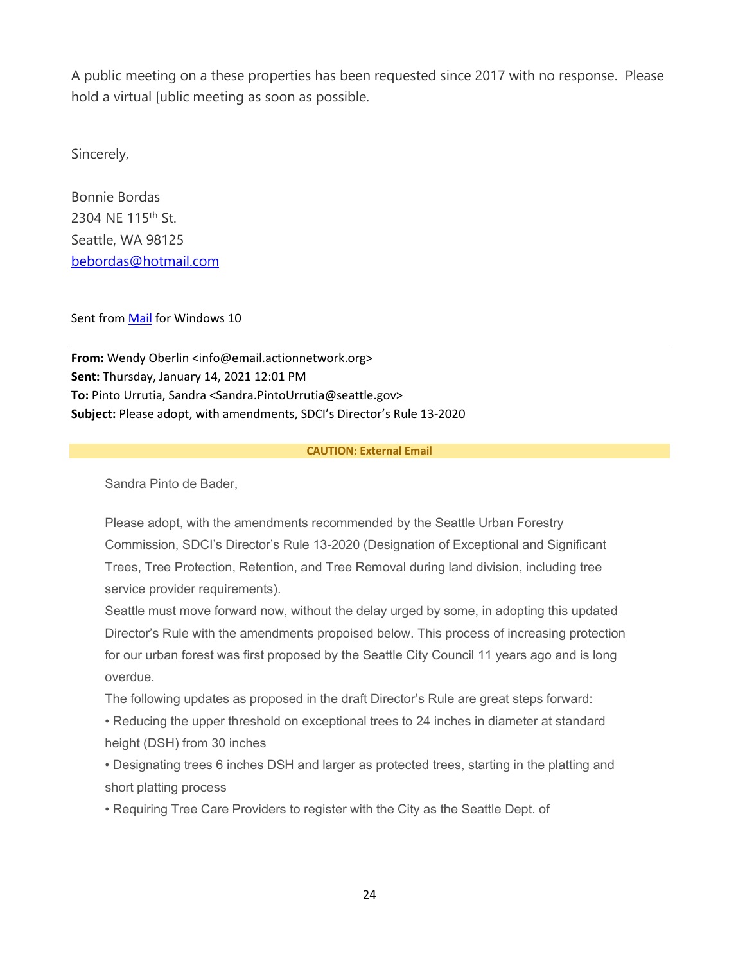A public meeting on a these properties has been requested since 2017 with no response. Please hold a virtual [ublic meeting as soon as possible.

Sincerely,

Bonnie Bordas 2304 NE 115th St. Seattle, WA 98125 [bebordas@hotmail.com](mailto:bebordas@hotmail.com)

Sent from [Mail](https://protect2.fireeye.com/v1/url?k=3a76ed1d-65edd40b-3a76c5ad-8681d5b5fa8e-1dd6cd131fc6c02e&q=1&e=dffb2fa9-7e2f-4397-a5b5-098542e7c258&u=https%3A%2F%2Fgo.microsoft.com%2Ffwlink%2F%3FLinkId%3D550986) for Windows 10

**From:** Wendy Oberlin <info@email.actionnetwork.org> **Sent:** Thursday, January 14, 2021 12:01 PM **To:** Pinto Urrutia, Sandra <Sandra.PintoUrrutia@seattle.gov> **Subject:** Please adopt, with amendments, SDCI's Director's Rule 13-2020

#### **CAUTION: External Email**

Sandra Pinto de Bader,

Please adopt, with the amendments recommended by the Seattle Urban Forestry Commission, SDCI's Director's Rule 13-2020 (Designation of Exceptional and Significant Trees, Tree Protection, Retention, and Tree Removal during land division, including tree service provider requirements).

Seattle must move forward now, without the delay urged by some, in adopting this updated Director's Rule with the amendments propoised below. This process of increasing protection for our urban forest was first proposed by the Seattle City Council 11 years ago and is long overdue.

The following updates as proposed in the draft Director's Rule are great steps forward:

• Reducing the upper threshold on exceptional trees to 24 inches in diameter at standard height (DSH) from 30 inches

• Designating trees 6 inches DSH and larger as protected trees, starting in the platting and short platting process

• Requiring Tree Care Providers to register with the City as the Seattle Dept. of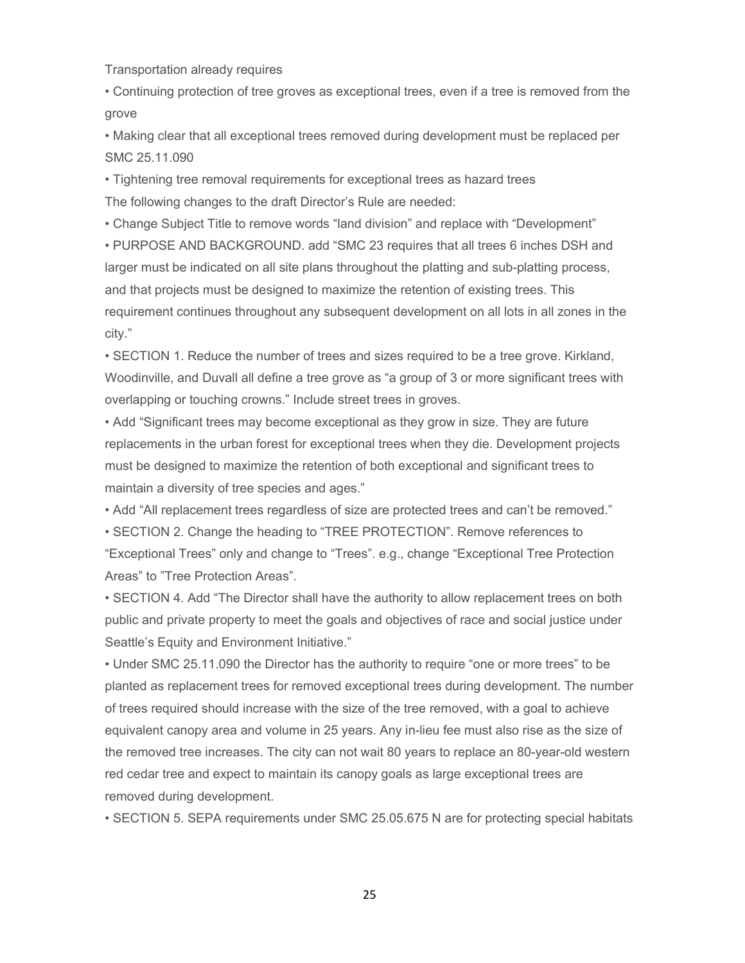Transportation already requires

• Continuing protection of tree groves as exceptional trees, even if a tree is removed from the grove

• Making clear that all exceptional trees removed during development must be replaced per SMC 25.11.090

• Tightening tree removal requirements for exceptional trees as hazard trees The following changes to the draft Director's Rule are needed:

• Change Subject Title to remove words "land division" and replace with "Development" • PURPOSE AND BACKGROUND. add "SMC 23 requires that all trees 6 inches DSH and larger must be indicated on all site plans throughout the platting and sub-platting process, and that projects must be designed to maximize the retention of existing trees. This requirement continues throughout any subsequent development on all lots in all zones in the city."

• SECTION 1. Reduce the number of trees and sizes required to be a tree grove. Kirkland, Woodinville, and Duvall all define a tree grove as "a group of 3 or more significant trees with overlapping or touching crowns." Include street trees in groves.

• Add "Significant trees may become exceptional as they grow in size. They are future replacements in the urban forest for exceptional trees when they die. Development projects must be designed to maximize the retention of both exceptional and significant trees to maintain a diversity of tree species and ages."

• Add "All replacement trees regardless of size are protected trees and can't be removed."

• SECTION 2. Change the heading to "TREE PROTECTION". Remove references to "Exceptional Trees" only and change to "Trees". e.g., change "Exceptional Tree Protection Areas" to "Tree Protection Areas".

• SECTION 4. Add "The Director shall have the authority to allow replacement trees on both public and private property to meet the goals and objectives of race and social justice under Seattle's Equity and Environment Initiative."

• Under SMC 25.11.090 the Director has the authority to require "one or more trees" to be planted as replacement trees for removed exceptional trees during development. The number of trees required should increase with the size of the tree removed, with a goal to achieve equivalent canopy area and volume in 25 years. Any in-lieu fee must also rise as the size of the removed tree increases. The city can not wait 80 years to replace an 80-year-old western red cedar tree and expect to maintain its canopy goals as large exceptional trees are removed during development.

• SECTION 5. SEPA requirements under SMC 25.05.675 N are for protecting special habitats

25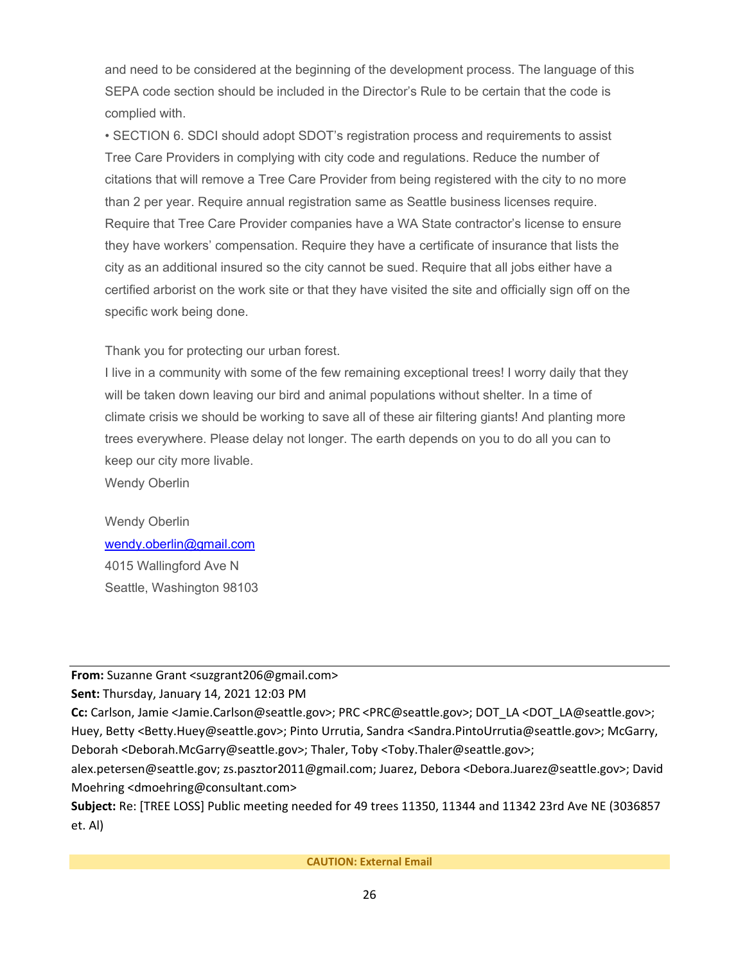and need to be considered at the beginning of the development process. The language of this SEPA code section should be included in the Director's Rule to be certain that the code is complied with.

• SECTION 6. SDCI should adopt SDOT's registration process and requirements to assist Tree Care Providers in complying with city code and regulations. Reduce the number of citations that will remove a Tree Care Provider from being registered with the city to no more than 2 per year. Require annual registration same as Seattle business licenses require. Require that Tree Care Provider companies have a WA State contractor's license to ensure they have workers' compensation. Require they have a certificate of insurance that lists the city as an additional insured so the city cannot be sued. Require that all jobs either have a certified arborist on the work site or that they have visited the site and officially sign off on the specific work being done.

Thank you for protecting our urban forest.

I live in a community with some of the few remaining exceptional trees! I worry daily that they will be taken down leaving our bird and animal populations without shelter. In a time of climate crisis we should be working to save all of these air filtering giants! And planting more trees everywhere. Please delay not longer. The earth depends on you to do all you can to keep our city more livable.

Wendy Oberlin

Wendy Oberlin [wendy.oberlin@gmail.com](mailto:wendy.oberlin@gmail.com) 4015 Wallingford Ave N Seattle, Washington 98103

**From:** Suzanne Grant <suzgrant206@gmail.com>

**Sent:** Thursday, January 14, 2021 12:03 PM

**Cc:** Carlson, Jamie <Jamie.Carlson@seattle.gov>; PRC <PRC@seattle.gov>; DOT\_LA <DOT\_LA@seattle.gov>; Huey, Betty <Betty.Huey@seattle.gov>; Pinto Urrutia, Sandra <Sandra.PintoUrrutia@seattle.gov>; McGarry, Deborah <Deborah.McGarry@seattle.gov>; Thaler, Toby <Toby.Thaler@seattle.gov>;

alex.petersen@seattle.gov; zs.pasztor2011@gmail.com; Juarez, Debora <Debora.Juarez@seattle.gov>; David Moehring <dmoehring@consultant.com>

**Subject:** Re: [TREE LOSS] Public meeting needed for 49 trees 11350, 11344 and 11342 23rd Ave NE (3036857 et. Al)

**CAUTION: External Email**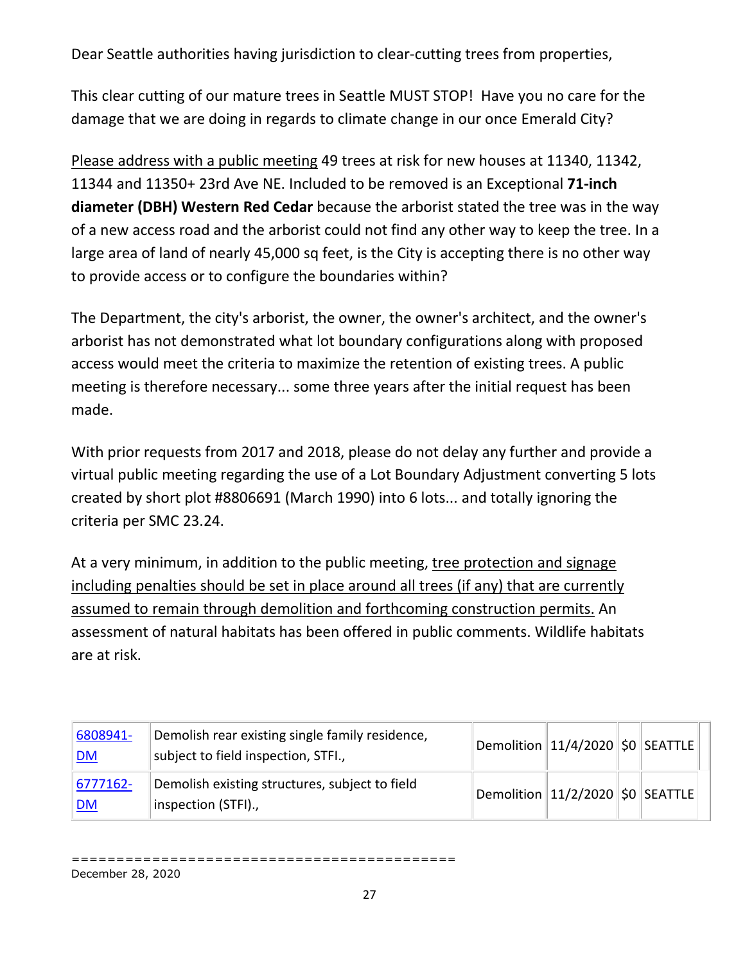Dear Seattle authorities having jurisdiction to clear-cutting trees from properties,

This clear cutting of our mature trees in Seattle MUST STOP! Have you no care for the damage that we are doing in regards to climate change in our once Emerald City?

Please address with a public meeting 49 trees at risk for new houses at 11340, 11342, 11344 and 11350+ 23rd Ave NE. Included to be removed is an Exceptional **71-inch diameter (DBH) Western Red Cedar** because the arborist stated the tree was in the way of a new access road and the arborist could not find any other way to keep the tree. In a large area of land of nearly 45,000 sq feet, is the City is accepting there is no other way to provide access or to configure the boundaries within?

The Department, the city's arborist, the owner, the owner's architect, and the owner's arborist has not demonstrated what lot boundary configurations along with proposed access would meet the criteria to maximize the retention of existing trees. A public meeting is therefore necessary... some three years after the initial request has been made.

With prior requests from 2017 and 2018, please do not delay any further and provide a virtual public meeting regarding the use of a Lot Boundary Adjustment converting 5 lots created by short plot #8806691 (March 1990) into 6 lots... and totally ignoring the criteria per SMC 23.24.

At a very minimum, in addition to the public meeting, tree protection and signage including penalties should be set in place around all trees (if any) that are currently assumed to remain through demolition and forthcoming construction permits. An assessment of natural habitats has been offered in public comments. Wildlife habitats are at risk.

| 6808941-<br><u> DM</u>     | Demolish rear existing single family residence,<br>subject to field inspection, STFI., | $\vert$ Demolition $\vert$ 11/4/2020 $\vert$ \$0 $\vert$ SEATTLE $\vert$ |  |  |
|----------------------------|----------------------------------------------------------------------------------------|--------------------------------------------------------------------------|--|--|
| $ 6777162 -$<br><u> DM</u> | Demolish existing structures, subject to field<br>inspection (STFI).,                  | $ $ Demolition $ 11/2/2020 $ $\zeta$ 0 $ $ SEATTLE $ $                   |  |  |

=========================================== December 28, 2020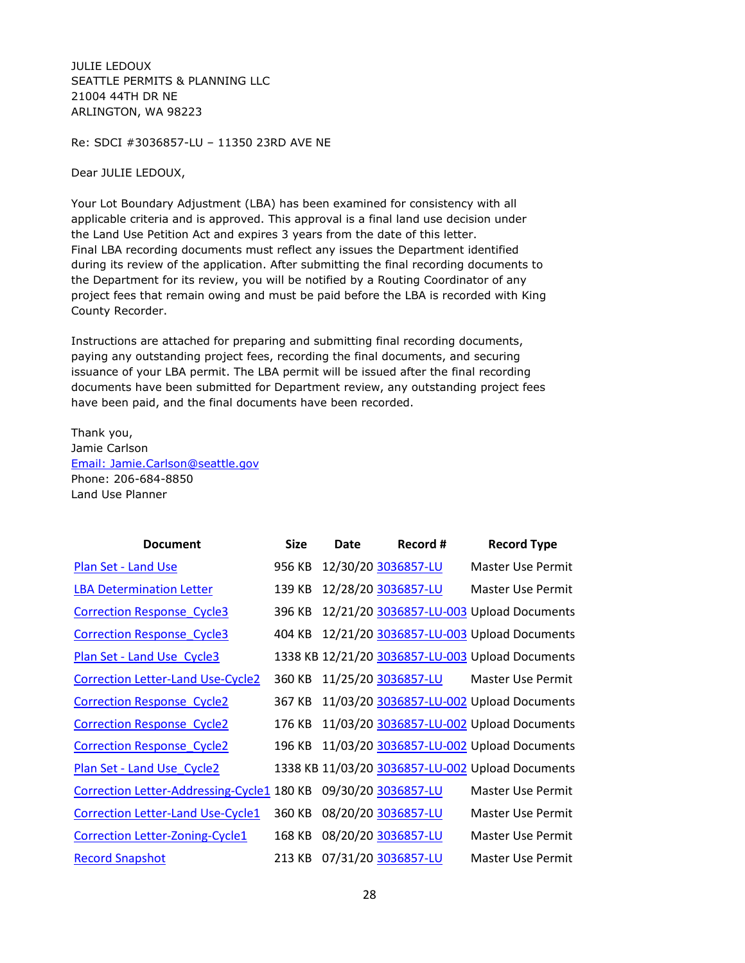JULIE LEDOUX SEATTLE PERMITS & PLANNING LLC 21004 44TH DR NE ARLINGTON, WA 98223

Re: SDCI #3036857-LU – 11350 23RD AVE NE

Dear JULIE LEDOUX,

Your Lot Boundary Adjustment (LBA) has been examined for consistency with all applicable criteria and is approved. This approval is a final land use decision under the Land Use Petition Act and expires 3 years from the date of this letter. Final LBA recording documents must reflect any issues the Department identified during its review of the application. After submitting the final recording documents to the Department for its review, you will be notified by a Routing Coordinator of any project fees that remain owing and must be paid before the LBA is recorded with King County Recorder.

Instructions are attached for preparing and submitting final recording documents, paying any outstanding project fees, recording the final documents, and securing issuance of your LBA permit. The LBA permit will be issued after the final recording documents have been submitted for Department review, any outstanding project fees have been paid, and the final documents have been recorded.

Thank you, Jamie Carlson [Email: Jamie.Carlson@seattle.gov](mailto:Jamie.Carlson@seattle.gov) Phone: 206-684-8850 Land Use Planner

| <b>Document</b>                            | <b>Size</b> | Date | Record #            | <b>Record Type</b>                               |
|--------------------------------------------|-------------|------|---------------------|--------------------------------------------------|
| Plan Set - Land Use                        | 956 KB      |      | 12/30/20 3036857-LU | <b>Master Use Permit</b>                         |
| <b>LBA Determination Letter</b>            | 139 KB      |      | 12/28/20 3036857-LU | Master Use Permit                                |
| <b>Correction Response Cycle3</b>          | 396 KB      |      |                     | 12/21/20 3036857-LU-003 Upload Documents         |
| <b>Correction Response Cycle3</b>          | 404 KB      |      |                     | 12/21/20 3036857-LU-003 Upload Documents         |
| Plan Set - Land Use Cycle3                 |             |      |                     | 1338 KB 12/21/20 3036857-LU-003 Upload Documents |
| <b>Correction Letter-Land Use-Cycle2</b>   | 360 KB      |      | 11/25/20 3036857-LU | Master Use Permit                                |
| <b>Correction Response Cycle2</b>          | 367 KB      |      |                     | 11/03/20 3036857-LU-002 Upload Documents         |
| <b>Correction Response Cycle2</b>          | 176 KB      |      |                     | 11/03/20 3036857-LU-002 Upload Documents         |
| <b>Correction Response Cycle2</b>          | 196 KB      |      |                     | 11/03/20 3036857-LU-002 Upload Documents         |
| Plan Set - Land Use Cycle2                 |             |      |                     | 1338 KB 11/03/20 3036857-LU-002 Upload Documents |
| Correction Letter-Addressing-Cycle1 180 KB |             |      | 09/30/20 3036857-LU | Master Use Permit                                |
| <b>Correction Letter-Land Use-Cycle1</b>   | 360 KB      |      | 08/20/20 3036857-LU | Master Use Permit                                |
| <b>Correction Letter-Zoning-Cycle1</b>     | 168 KB      |      | 08/20/20 3036857-LU | Master Use Permit                                |
| <b>Record Snapshot</b>                     | 213 KB      |      | 07/31/20 3036857-LU | <b>Master Use Permit</b>                         |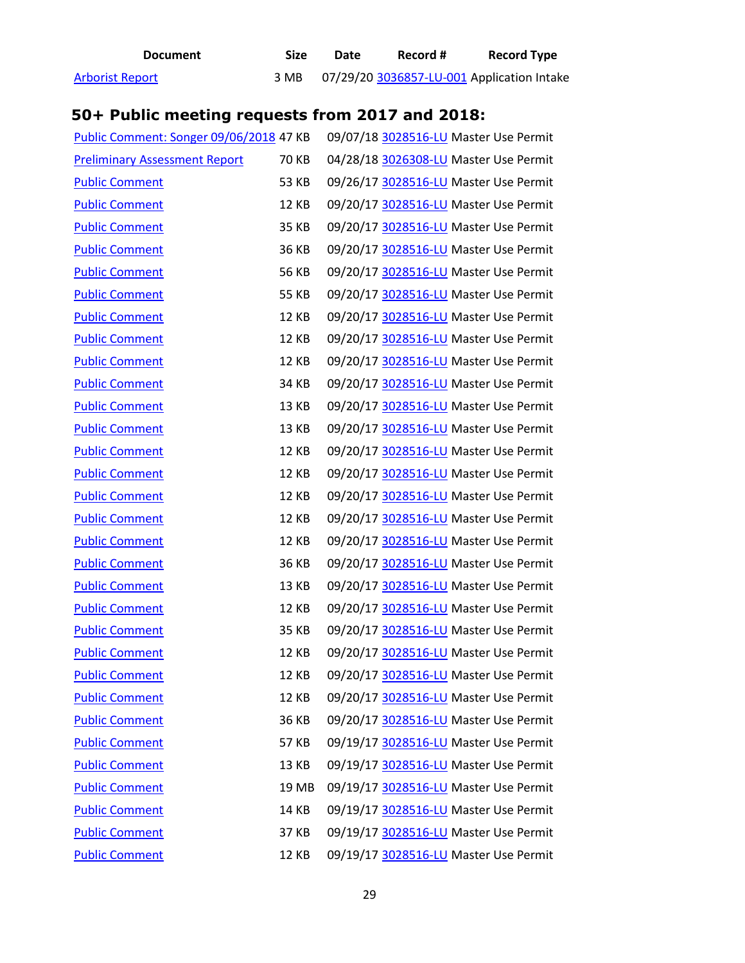**Document Size Date Record # Record Type** [Arborist Report](http://web6.seattle.gov/dpd/edms/GetDocument.aspx?id=5729963) 3 MB 07/29/20 [3036857-LU-001 A](https://protect2.fireeye.com/v1/url?k=d4d779a0-8b4c4097-d4d75110-86ab8bdaf1e2-6c49550d282488ae&q=1&e=4751b7f9-c49c-4711-abee-738c6988d930&u=https%3A%2F%2Fcosaccela.seattle.gov%2Fportal%2Fcustomize%2Flinktorecord.aspx%3FaltId%3D3036857-LU-001)pplication Intake

# **50+ Public meeting requests from 2017 and 2018:**

| Public Comment: Songer 09/06/2018 47 KB |              | 09/07/18 3028516-LU Master Use Permit |
|-----------------------------------------|--------------|---------------------------------------|
| <b>Preliminary Assessment Report</b>    | <b>70 KB</b> | 04/28/18 3026308-LU Master Use Permit |
| <b>Public Comment</b>                   | 53 KB        | 09/26/17 3028516-LU Master Use Permit |
| <b>Public Comment</b>                   | <b>12 KB</b> | 09/20/17 3028516-LU Master Use Permit |
| <b>Public Comment</b>                   | 35 KB        | 09/20/17 3028516-LU Master Use Permit |
| <b>Public Comment</b>                   | 36 KB        | 09/20/17 3028516-LU Master Use Permit |
| <b>Public Comment</b>                   | <b>56 KB</b> | 09/20/17 3028516-LU Master Use Permit |
| <b>Public Comment</b>                   | 55 KB        | 09/20/17 3028516-LU Master Use Permit |
| <b>Public Comment</b>                   | 12 KB        | 09/20/17 3028516-LU Master Use Permit |
| <b>Public Comment</b>                   | <b>12 KB</b> | 09/20/17 3028516-LU Master Use Permit |
| <b>Public Comment</b>                   | <b>12 KB</b> | 09/20/17 3028516-LU Master Use Permit |
| <b>Public Comment</b>                   | 34 KB        | 09/20/17 3028516-LU Master Use Permit |
| <b>Public Comment</b>                   | 13 KB        | 09/20/17 3028516-LU Master Use Permit |
| <b>Public Comment</b>                   | 13 KB        | 09/20/17 3028516-LU Master Use Permit |
| <b>Public Comment</b>                   | <b>12 KB</b> | 09/20/17 3028516-LU Master Use Permit |
| <b>Public Comment</b>                   | <b>12 KB</b> | 09/20/17 3028516-LU Master Use Permit |
| <b>Public Comment</b>                   | <b>12 KB</b> | 09/20/17 3028516-LU Master Use Permit |
| <b>Public Comment</b>                   | <b>12 KB</b> | 09/20/17 3028516-LU Master Use Permit |
| <b>Public Comment</b>                   | 12 KB        | 09/20/17 3028516-LU Master Use Permit |
| <b>Public Comment</b>                   | 36 KB        | 09/20/17 3028516-LU Master Use Permit |
| <b>Public Comment</b>                   | 13 KB        | 09/20/17 3028516-LU Master Use Permit |
| <b>Public Comment</b>                   | 12 KB        | 09/20/17 3028516-LU Master Use Permit |
| <b>Public Comment</b>                   | 35 KB        | 09/20/17 3028516-LU Master Use Permit |
| <b>Public Comment</b>                   | 12 KB        | 09/20/17 3028516-LU Master Use Permit |
| <b>Public Comment</b>                   | 12 KB        | 09/20/17 3028516-LU Master Use Permit |
| <b>Public Comment</b>                   | <b>12 KB</b> | 09/20/17 3028516-LU Master Use Permit |
| <b>Public Comment</b>                   | 36 KB        | 09/20/17 3028516-LU Master Use Permit |
| <b>Public Comment</b>                   | 57 KB        | 09/19/17 3028516-LU Master Use Permit |
| <b>Public Comment</b>                   | 13 KB        | 09/19/17 3028516-LU Master Use Permit |
| <b>Public Comment</b>                   | 19 MB        | 09/19/17 3028516-LU Master Use Permit |
| <b>Public Comment</b>                   | <b>14 KB</b> | 09/19/17 3028516-LU Master Use Permit |
| <b>Public Comment</b>                   | 37 KB        | 09/19/17 3028516-LU Master Use Permit |
| <b>Public Comment</b>                   | 12 KB        | 09/19/17 3028516-LU Master Use Permit |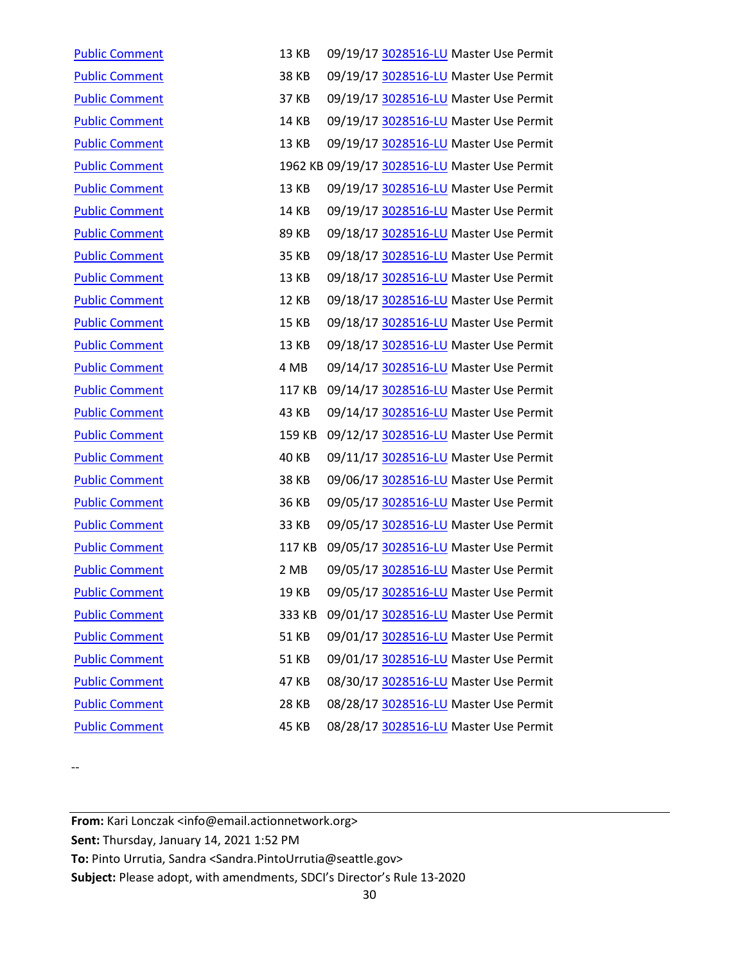| <b>Public Comment</b> | <b>13 KB</b> | 09/19/17 3028516-LU Master Use Permit         |
|-----------------------|--------------|-----------------------------------------------|
| <b>Public Comment</b> | <b>38 KB</b> | 09/19/17 3028516-LU Master Use Permit         |
| <b>Public Comment</b> | 37 KB        | 09/19/17 3028516-LU Master Use Permit         |
| <b>Public Comment</b> | 14 KB        | 09/19/17 3028516-LU Master Use Permit         |
| <b>Public Comment</b> | 13 KB        | 09/19/17 3028516-LU Master Use Permit         |
| <b>Public Comment</b> |              | 1962 KB 09/19/17 3028516-LU Master Use Permit |
| <b>Public Comment</b> | <b>13 KB</b> | 09/19/17 3028516-LU Master Use Permit         |
| <b>Public Comment</b> | 14 KB        | 09/19/17 3028516-LU Master Use Permit         |
| <b>Public Comment</b> | 89 KB        | 09/18/17 3028516-LU Master Use Permit         |
| <b>Public Comment</b> | 35 KB        | 09/18/17 3028516-LU Master Use Permit         |
| <b>Public Comment</b> | 13 KB        | 09/18/17 3028516-LU Master Use Permit         |
| <b>Public Comment</b> | <b>12 KB</b> | 09/18/17 3028516-LU Master Use Permit         |
| <b>Public Comment</b> | 15 KB        | 09/18/17 3028516-LU Master Use Permit         |
| <b>Public Comment</b> | 13 KB        | 09/18/17 3028516-LU Master Use Permit         |
| <b>Public Comment</b> | 4 MB         | 09/14/17 3028516-LU Master Use Permit         |
| <b>Public Comment</b> | 117 KB       | 09/14/17 3028516-LU Master Use Permit         |
| <b>Public Comment</b> | 43 KB        | 09/14/17 3028516-LU Master Use Permit         |
| <b>Public Comment</b> | 159 KB       | 09/12/17 3028516-LU Master Use Permit         |
| <b>Public Comment</b> | <b>40 KB</b> | 09/11/17 3028516-LU Master Use Permit         |
| <b>Public Comment</b> | <b>38 KB</b> | 09/06/17 3028516-LU Master Use Permit         |
| <b>Public Comment</b> | 36 KB        | 09/05/17 3028516-LU Master Use Permit         |
| <b>Public Comment</b> | 33 KB        | 09/05/17 3028516-LU Master Use Permit         |
| <b>Public Comment</b> | 117 KB       | 09/05/17 3028516-LU Master Use Permit         |
| <b>Public Comment</b> | 2 MB         | 09/05/17 3028516-LU Master Use Permit         |
| <b>Public Comment</b> | 19 KB        | 09/05/17 3028516-LU Master Use Permit         |
| <b>Public Comment</b> | 333 KB       | 09/01/17 3028516-LU Master Use Permit         |
| <b>Public Comment</b> | <b>51 KB</b> | 09/01/17 3028516-LU Master Use Permit         |
| <b>Public Comment</b> | 51 KB        | 09/01/17 3028516-LU Master Use Permit         |
| <b>Public Comment</b> | 47 KB        | 08/30/17 3028516-LU Master Use Permit         |
| <b>Public Comment</b> | 28 KB        | 08/28/17 3028516-LU Master Use Permit         |
| <b>Public Comment</b> | 45 KB        | 08/28/17 3028516-LU Master Use Permit         |

--

**From:** Kari Lonczak <info@email.actionnetwork.org> **Sent:** Thursday, January 14, 2021 1:52 PM **To:** Pinto Urrutia, Sandra <Sandra.PintoUrrutia@seattle.gov> **Subject:** Please adopt, with amendments, SDCI's Director's Rule 13-2020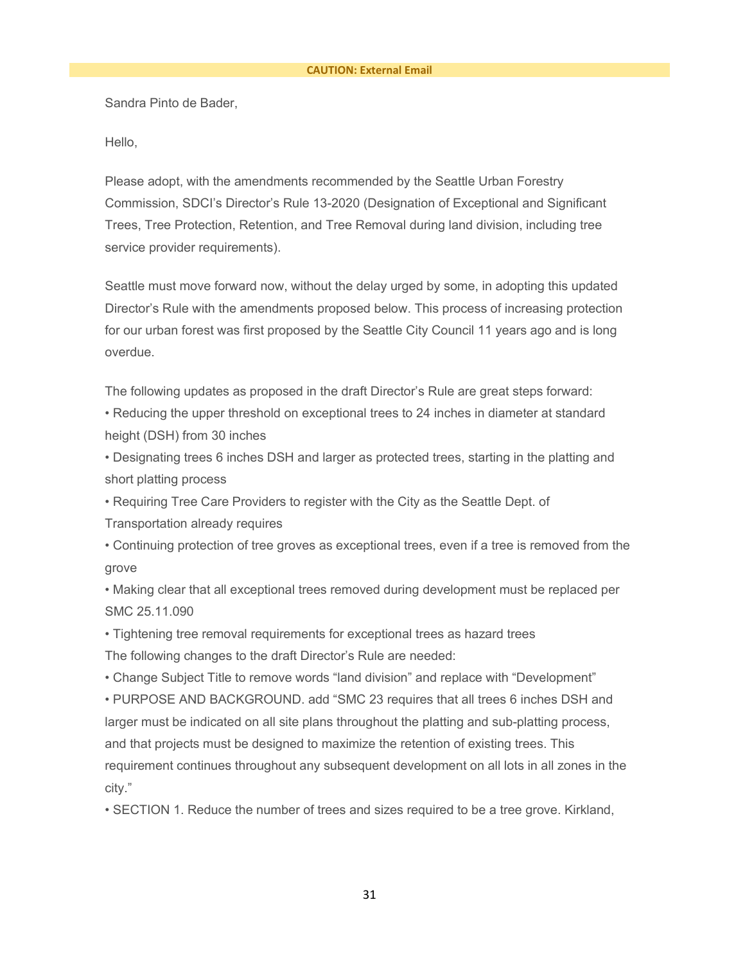Sandra Pinto de Bader,

Hello,

Please adopt, with the amendments recommended by the Seattle Urban Forestry Commission, SDCI's Director's Rule 13-2020 (Designation of Exceptional and Significant Trees, Tree Protection, Retention, and Tree Removal during land division, including tree service provider requirements).

Seattle must move forward now, without the delay urged by some, in adopting this updated Director's Rule with the amendments proposed below. This process of increasing protection for our urban forest was first proposed by the Seattle City Council 11 years ago and is long overdue.

The following updates as proposed in the draft Director's Rule are great steps forward:

• Reducing the upper threshold on exceptional trees to 24 inches in diameter at standard height (DSH) from 30 inches

• Designating trees 6 inches DSH and larger as protected trees, starting in the platting and short platting process

• Requiring Tree Care Providers to register with the City as the Seattle Dept. of

Transportation already requires

• Continuing protection of tree groves as exceptional trees, even if a tree is removed from the grove

• Making clear that all exceptional trees removed during development must be replaced per SMC 25.11.090

• Tightening tree removal requirements for exceptional trees as hazard trees The following changes to the draft Director's Rule are needed:

• Change Subject Title to remove words "land division" and replace with "Development" • PURPOSE AND BACKGROUND. add "SMC 23 requires that all trees 6 inches DSH and larger must be indicated on all site plans throughout the platting and sub-platting process, and that projects must be designed to maximize the retention of existing trees. This requirement continues throughout any subsequent development on all lots in all zones in the city."

• SECTION 1. Reduce the number of trees and sizes required to be a tree grove. Kirkland,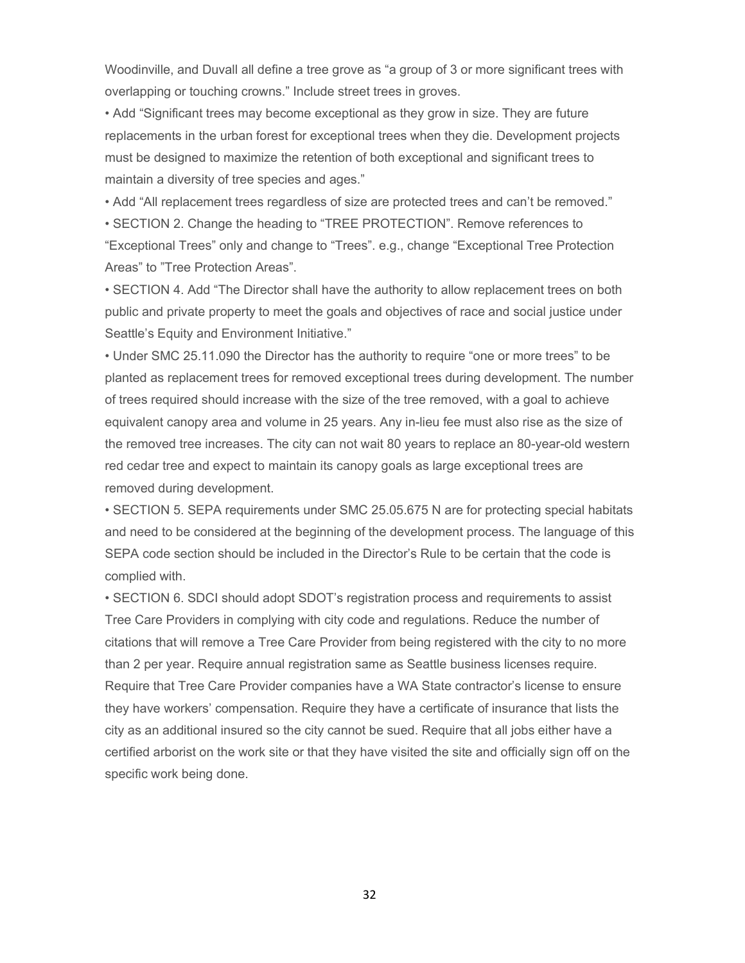Woodinville, and Duvall all define a tree grove as "a group of 3 or more significant trees with overlapping or touching crowns." Include street trees in groves.

• Add "Significant trees may become exceptional as they grow in size. They are future replacements in the urban forest for exceptional trees when they die. Development projects must be designed to maximize the retention of both exceptional and significant trees to maintain a diversity of tree species and ages."

• Add "All replacement trees regardless of size are protected trees and can't be removed."

• SECTION 2. Change the heading to "TREE PROTECTION". Remove references to "Exceptional Trees" only and change to "Trees". e.g., change "Exceptional Tree Protection Areas" to "Tree Protection Areas".

• SECTION 4. Add "The Director shall have the authority to allow replacement trees on both public and private property to meet the goals and objectives of race and social justice under Seattle's Equity and Environment Initiative."

• Under SMC 25.11.090 the Director has the authority to require "one or more trees" to be planted as replacement trees for removed exceptional trees during development. The number of trees required should increase with the size of the tree removed, with a goal to achieve equivalent canopy area and volume in 25 years. Any in-lieu fee must also rise as the size of the removed tree increases. The city can not wait 80 years to replace an 80-year-old western red cedar tree and expect to maintain its canopy goals as large exceptional trees are removed during development.

• SECTION 5. SEPA requirements under SMC 25.05.675 N are for protecting special habitats and need to be considered at the beginning of the development process. The language of this SEPA code section should be included in the Director's Rule to be certain that the code is complied with.

• SECTION 6. SDCI should adopt SDOT's registration process and requirements to assist Tree Care Providers in complying with city code and regulations. Reduce the number of citations that will remove a Tree Care Provider from being registered with the city to no more than 2 per year. Require annual registration same as Seattle business licenses require. Require that Tree Care Provider companies have a WA State contractor's license to ensure they have workers' compensation. Require they have a certificate of insurance that lists the city as an additional insured so the city cannot be sued. Require that all jobs either have a certified arborist on the work site or that they have visited the site and officially sign off on the specific work being done.

32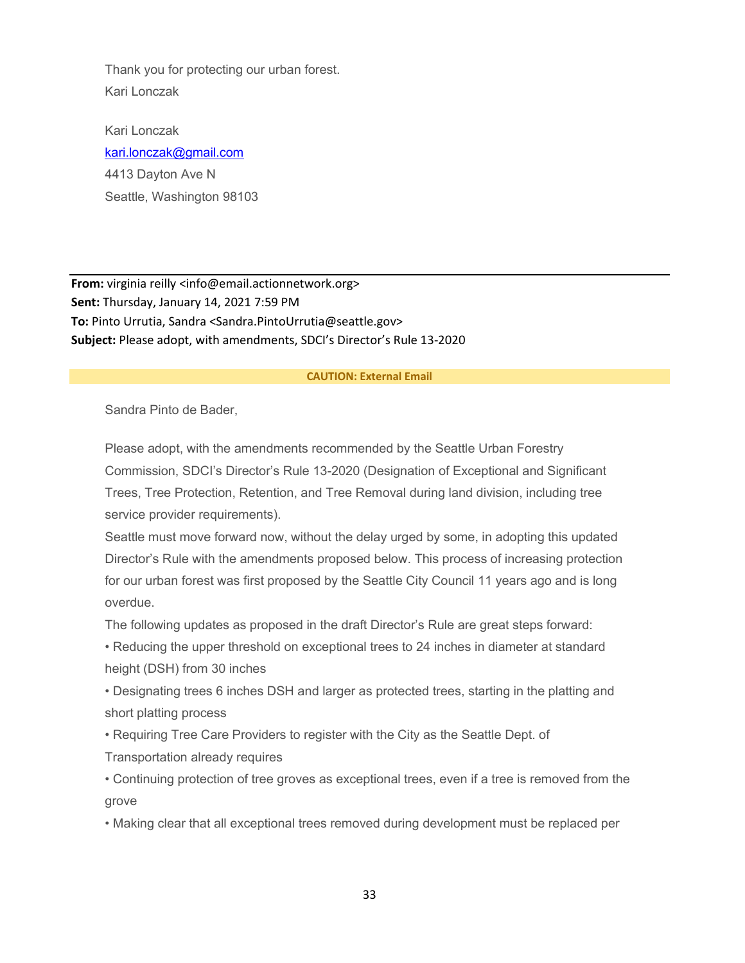Thank you for protecting our urban forest. Kari Lonczak

Kari Lonczak [kari.lonczak@gmail.com](mailto:kari.lonczak@gmail.com) 4413 Dayton Ave N Seattle, Washington 98103

**From:** virginia reilly <info@email.actionnetwork.org> **Sent:** Thursday, January 14, 2021 7:59 PM **To:** Pinto Urrutia, Sandra <Sandra.PintoUrrutia@seattle.gov> **Subject:** Please adopt, with amendments, SDCI's Director's Rule 13-2020

#### **CAUTION: External Email**

Sandra Pinto de Bader,

Please adopt, with the amendments recommended by the Seattle Urban Forestry Commission, SDCI's Director's Rule 13-2020 (Designation of Exceptional and Significant Trees, Tree Protection, Retention, and Tree Removal during land division, including tree service provider requirements).

Seattle must move forward now, without the delay urged by some, in adopting this updated Director's Rule with the amendments proposed below. This process of increasing protection for our urban forest was first proposed by the Seattle City Council 11 years ago and is long overdue.

The following updates as proposed in the draft Director's Rule are great steps forward:

• Reducing the upper threshold on exceptional trees to 24 inches in diameter at standard height (DSH) from 30 inches

• Designating trees 6 inches DSH and larger as protected trees, starting in the platting and short platting process

• Requiring Tree Care Providers to register with the City as the Seattle Dept. of Transportation already requires

• Continuing protection of tree groves as exceptional trees, even if a tree is removed from the grove

• Making clear that all exceptional trees removed during development must be replaced per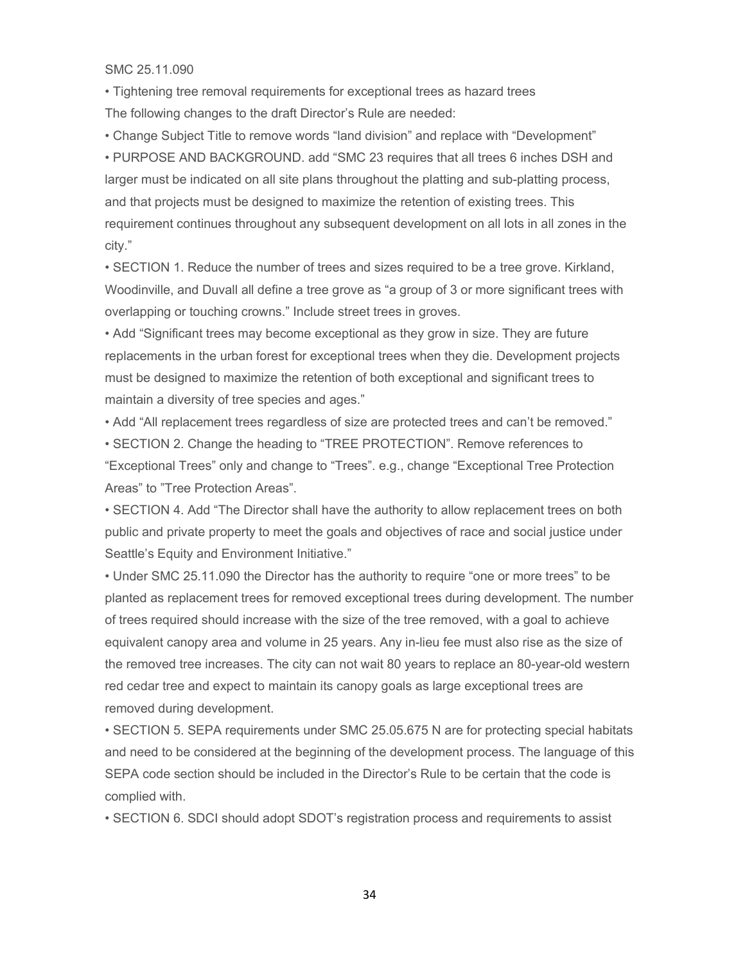SMC 25.11.090

• Tightening tree removal requirements for exceptional trees as hazard trees The following changes to the draft Director's Rule are needed:

• Change Subject Title to remove words "land division" and replace with "Development"

• PURPOSE AND BACKGROUND. add "SMC 23 requires that all trees 6 inches DSH and larger must be indicated on all site plans throughout the platting and sub-platting process, and that projects must be designed to maximize the retention of existing trees. This requirement continues throughout any subsequent development on all lots in all zones in the city."

• SECTION 1. Reduce the number of trees and sizes required to be a tree grove. Kirkland, Woodinville, and Duvall all define a tree grove as "a group of 3 or more significant trees with overlapping or touching crowns." Include street trees in groves.

• Add "Significant trees may become exceptional as they grow in size. They are future replacements in the urban forest for exceptional trees when they die. Development projects must be designed to maximize the retention of both exceptional and significant trees to maintain a diversity of tree species and ages."

• Add "All replacement trees regardless of size are protected trees and can't be removed."

• SECTION 2. Change the heading to "TREE PROTECTION". Remove references to "Exceptional Trees" only and change to "Trees". e.g., change "Exceptional Tree Protection Areas" to "Tree Protection Areas".

• SECTION 4. Add "The Director shall have the authority to allow replacement trees on both public and private property to meet the goals and objectives of race and social justice under Seattle's Equity and Environment Initiative."

• Under SMC 25.11.090 the Director has the authority to require "one or more trees" to be planted as replacement trees for removed exceptional trees during development. The number of trees required should increase with the size of the tree removed, with a goal to achieve equivalent canopy area and volume in 25 years. Any in-lieu fee must also rise as the size of the removed tree increases. The city can not wait 80 years to replace an 80-year-old western red cedar tree and expect to maintain its canopy goals as large exceptional trees are removed during development.

• SECTION 5. SEPA requirements under SMC 25.05.675 N are for protecting special habitats and need to be considered at the beginning of the development process. The language of this SEPA code section should be included in the Director's Rule to be certain that the code is complied with.

• SECTION 6. SDCI should adopt SDOT's registration process and requirements to assist

34